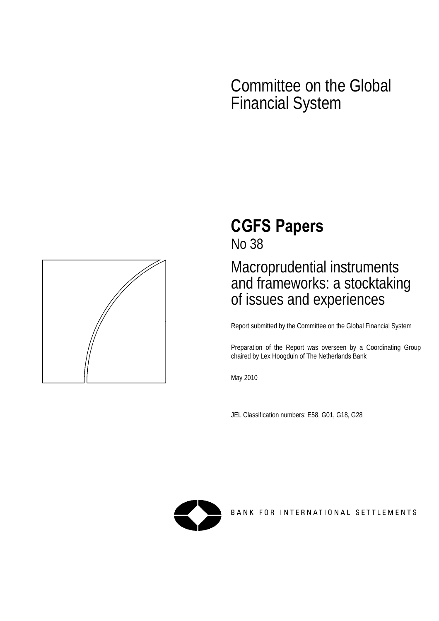# Committee on the Global Financial System



# **CGFS Papers**

No 38

# Macroprudential instruments and frameworks: a stocktaking of issues and experiences

Report submitted by the Committee on the Global Financial System

Preparation of the Report was overseen by a Coordinating Group chaired by Lex Hoogduin of The Netherlands Bank

May 2010

JEL Classification numbers: E58, G01, G18, G28



BANK FOR INTERNATIONAL SETTLEMENTS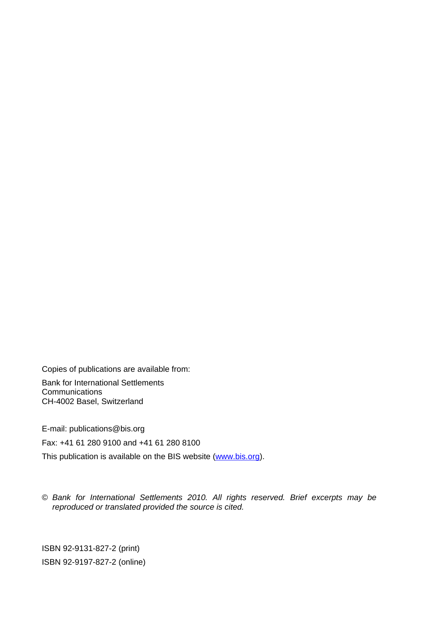Copies of publications are available from:

Bank for International Settlements **Communications** CH-4002 Basel, Switzerland

E-mail: publications@bis.org Fax: +41 61 280 9100 and +41 61 280 8100 This publication is available on the BIS website [\(www.bis.org\)](http://www.bis.org/).

© *Bank for International Settlements 2010. All rights reserved. Brief excerpts may be reproduced or translated provided the source is cited.* 

ISBN 92-9131-827-2 (print) ISBN 92-9197-827-2 (online)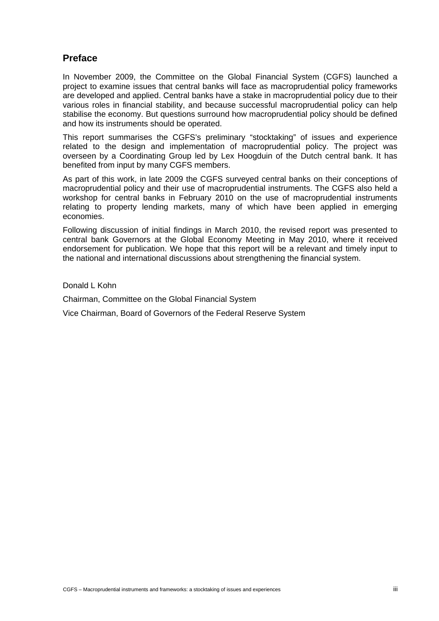# <span id="page-2-0"></span>**Preface**

In November 2009, the Committee on the Global Financial System (CGFS) launched a project to examine issues that central banks will face as macroprudential policy frameworks are developed and applied. Central banks have a stake in macroprudential policy due to their various roles in financial stability, and because successful macroprudential policy can help stabilise the economy. But questions surround how macroprudential policy should be defined and how its instruments should be operated.

This report summarises the CGFS's preliminary "stocktaking" of issues and experience related to the design and implementation of macroprudential policy. The project was overseen by a Coordinating Group led by Lex Hoogduin of the Dutch central bank. It has benefited from input by many CGFS members.

As part of this work, in late 2009 the CGFS surveyed central banks on their conceptions of macroprudential policy and their use of macroprudential instruments. The CGFS also held a workshop for central banks in February 2010 on the use of macroprudential instruments relating to property lending markets, many of which have been applied in emerging economies.

Following discussion of initial findings in March 2010, the revised report was presented to central bank Governors at the Global Economy Meeting in May 2010, where it received endorsement for publication. We hope that this report will be a relevant and timely input to the national and international discussions about strengthening the financial system.

Donald L Kohn

Chairman, Committee on the Global Financial System

Vice Chairman, Board of Governors of the Federal Reserve System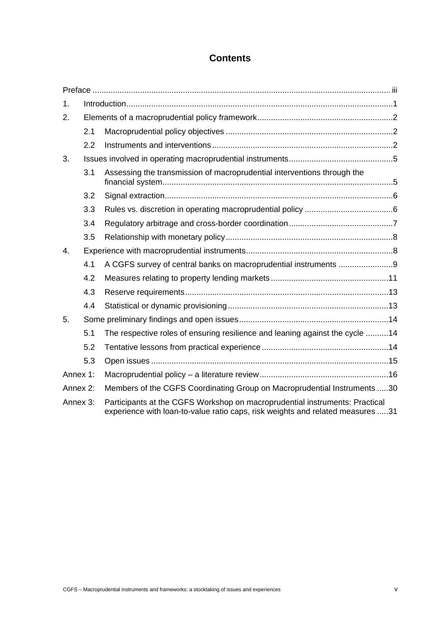# **Contents**

| 1.       |     |                                                                                                                                                               |  |  |
|----------|-----|---------------------------------------------------------------------------------------------------------------------------------------------------------------|--|--|
| 2.       |     |                                                                                                                                                               |  |  |
|          | 2.1 |                                                                                                                                                               |  |  |
|          | 2.2 |                                                                                                                                                               |  |  |
| 3.       |     |                                                                                                                                                               |  |  |
|          | 3.1 | Assessing the transmission of macroprudential interventions through the                                                                                       |  |  |
|          | 3.2 |                                                                                                                                                               |  |  |
|          | 3.3 |                                                                                                                                                               |  |  |
|          | 3.4 |                                                                                                                                                               |  |  |
|          | 3.5 |                                                                                                                                                               |  |  |
| 4.       |     |                                                                                                                                                               |  |  |
|          | 4.1 | A CGFS survey of central banks on macroprudential instruments 9                                                                                               |  |  |
|          | 4.2 |                                                                                                                                                               |  |  |
|          | 4.3 |                                                                                                                                                               |  |  |
|          | 4.4 |                                                                                                                                                               |  |  |
| 5.       |     |                                                                                                                                                               |  |  |
|          | 5.1 | The respective roles of ensuring resilience and leaning against the cycle 14                                                                                  |  |  |
|          | 5.2 |                                                                                                                                                               |  |  |
|          | 5.3 |                                                                                                                                                               |  |  |
| Annex 1: |     |                                                                                                                                                               |  |  |
| Annex 2: |     | Members of the CGFS Coordinating Group on Macroprudential Instruments 30                                                                                      |  |  |
| Annex 3: |     | Participants at the CGFS Workshop on macroprudential instruments: Practical<br>experience with loan-to-value ratio caps, risk weights and related measures 31 |  |  |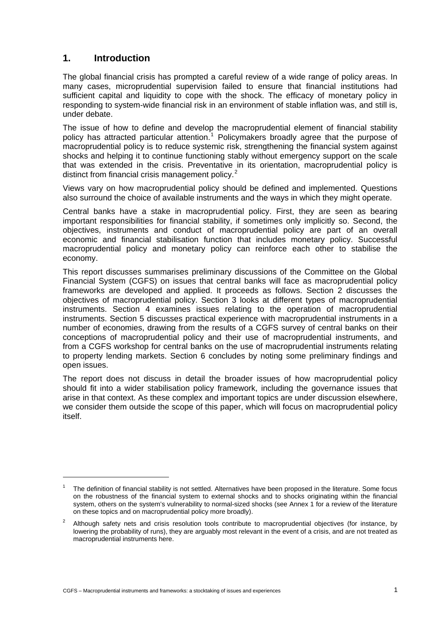# <span id="page-6-0"></span>**1. Introduction**

 $\overline{a}$ 

The global financial crisis has prompted a careful review of a wide range of policy areas. In many cases, microprudential supervision failed to ensure that financial institutions had sufficient capital and liquidity to cope with the shock. The efficacy of monetary policy in responding to system-wide financial risk in an environment of stable inflation was, and still is, under debate.

The issue of how to define and develop the macroprudential element of financial stability policy has attracted particular attention.<sup>[1](#page-6-1)</sup> Policymakers broadly agree that the purpose of macroprudential policy is to reduce systemic risk, strengthening the financial system against shocks and helping it to continue functioning stably without emergency support on the scale that was extended in the crisis. Preventative in its orientation, macroprudential policy is distinct from financial crisis management policy.<sup>[2](#page-6-2)</sup>

Views vary on how macroprudential policy should be defined and implemented. Questions also surround the choice of available instruments and the ways in which they might operate.

Central banks have a stake in macroprudential policy. First, they are seen as bearing important responsibilities for financial stability, if sometimes only implicitly so. Second, the objectives, instruments and conduct of macroprudential policy are part of an overall economic and financial stabilisation function that includes monetary policy. Successful macroprudential policy and monetary policy can reinforce each other to stabilise the economy.

This report discusses summarises preliminary discussions of the Committee on the Global Financial System (CGFS) on issues that central banks will face as macroprudential policy frameworks are developed and applied. It proceeds as follows. Section 2 discusses the objectives of macroprudential policy. Section 3 looks at different types of macroprudential instruments. Section 4 examines issues relating to the operation of macroprudential instruments. Section 5 discusses practical experience with macroprudential instruments in a number of economies, drawing from the results of a CGFS survey of central banks on their conceptions of macroprudential policy and their use of macroprudential instruments, and from a CGFS workshop for central banks on the use of macroprudential instruments relating to property lending markets. Section 6 concludes by noting some preliminary findings and open issues.

The report does not discuss in detail the broader issues of how macroprudential policy should fit into a wider stabilisation policy framework, including the governance issues that arise in that context. As these complex and important topics are under discussion elsewhere, we consider them outside the scope of this paper, which will focus on macroprudential policy itself.

<span id="page-6-1"></span><sup>1</sup> The definition of financial stability is not settled. Alternatives have been proposed in the literature. Some focus on the robustness of the financial system to external shocks and to shocks originating within the financial system, others on the system's vulnerability to normal-sized shocks (see Annex 1 for a review of the literature on these topics and on macroprudential policy more broadly).

<span id="page-6-2"></span><sup>2</sup> Although safety nets and crisis resolution tools contribute to macroprudential objectives (for instance, by lowering the probability of runs), they are arguably most relevant in the event of a crisis, and are not treated as macroprudential instruments here.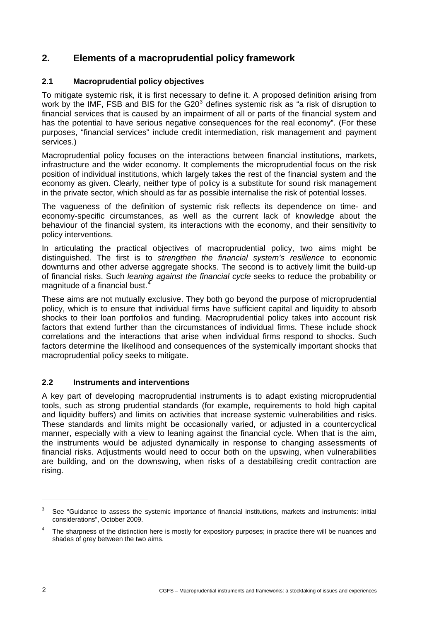# <span id="page-7-0"></span>**2. Elements of a macroprudential policy framework**

#### **2.1 Macroprudential policy objectives**

<span id="page-7-1"></span>To mitigate systemic risk, it is first necessary to define it. A proposed definition arising from work by the IMF, FSB and BIS for the G20<sup>[3](#page-7-3)</sup> defines systemic risk as "a risk of disruption to financial services that is caused by an impairment of all or parts of the financial system and has the potential to have serious negative consequences for the real economy". (For these purposes, "financial services" include credit intermediation, risk management and payment services.)

Macroprudential policy focuses on the interactions between financial institutions, markets, infrastructure and the wider economy. It complements the microprudential focus on the risk position of individual institutions, which largely takes the rest of the financial system and the economy as given. Clearly, neither type of policy is a substitute for sound risk management in the private sector, which should as far as possible internalise the risk of potential losses.

The vagueness of the definition of systemic risk reflects its dependence on time- and economy-specific circumstances, as well as the current lack of knowledge about the behaviour of the financial system, its interactions with the economy, and their sensitivity to policy interventions.

In articulating the practical objectives of macroprudential policy, two aims might be distinguished. The first is to *strengthen the financial system's resilience* to economic downturns and other adverse aggregate shocks. The second is to actively limit the build-up of financial risks. Such *leaning against the financial cycle* seeks to reduce the probability or magnitude of a financial bust.<sup>[4](#page-7-4)</sup>

These aims are not mutually exclusive. They both go beyond the purpose of microprudential policy, which is to ensure that individual firms have sufficient capital and liquidity to absorb shocks to their loan portfolios and funding. Macroprudential policy takes into account risk factors that extend further than the circumstances of individual firms. These include shock correlations and the interactions that arise when individual firms respond to shocks. Such factors determine the likelihood and consequences of the systemically important shocks that macroprudential policy seeks to mitigate.

#### <span id="page-7-2"></span>**2.2 Instruments and interventions**

A key part of developing macroprudential instruments is to adapt existing microprudential tools, such as strong prudential standards (for example, requirements to hold high capital and liquidity buffers) and limits on activities that increase systemic vulnerabilities and risks. These standards and limits might be occasionally varied, or adjusted in a countercyclical manner, especially with a view to leaning against the financial cycle. When that is the aim, the instruments would be adjusted dynamically in response to changing assessments of financial risks. Adjustments would need to occur both on the upswing, when vulnerabilities are building, and on the downswing, when risks of a destabilising credit contraction are rising.

<span id="page-7-3"></span><sup>3</sup> See "Guidance to assess the systemic importance of financial institutions, markets and instruments: initial considerations", October 2009.

<span id="page-7-4"></span><sup>4</sup> The sharpness of the distinction here is mostly for expository purposes; in practice there will be nuances and shades of grey between the two aims.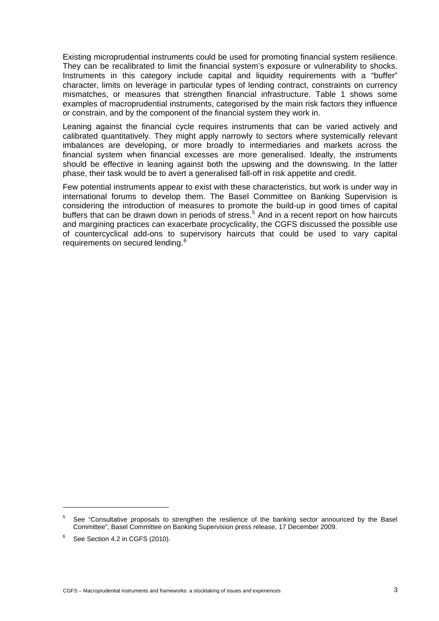Existing microprudential instruments could be used for promoting financial system resilience. They can be recalibrated to limit the financial system's exposure or vulnerability to shocks. Instruments in this category include capital and liquidity requirements with a "buffer" character, limits on leverage in particular types of lending contract, constraints on currency mismatches, or measures that strengthen financial infrastructure. Table 1 shows some examples of macroprudential instruments, categorised by the main risk factors they influence or constrain, and by the component of the financial system they work in.

Leaning against the financial cycle requires instruments that can be varied actively and calibrated quantitatively. They might apply narrowly to sectors where systemically relevant imbalances are developing, or more broadly to intermediaries and markets across the financial system when financial excesses are more generalised. Ideally, the instruments should be effective in leaning against both the upswing and the downswing. In the latter phase, their task would be to avert a generalised fall-off in risk appetite and credit.

Few potential instruments appear to exist with these characteristics, but work is under way in international forums to develop them. The Basel Committee on Banking Supervision is considering the introduction of measures to promote the build-up in good times of capital buffers that can be drawn down in periods of stress.<sup>[5](#page-8-0)</sup> And in a recent report on how haircuts and margining practices can exacerbate procyclicality, the CGFS discussed the possible use of countercyclical add-ons to supervisory haircuts that could be used to vary capital requirements on secured lending.<sup>[6](#page-8-1)</sup>

<span id="page-8-0"></span><sup>5</sup> See "Consultative proposals to strengthen the resilience of the banking sector announced by the Basel Committee", Basel Committee on Banking Supervision press release, 17 December 2009.

<span id="page-8-1"></span><sup>6</sup> See Section 4.2 in CGFS (2010).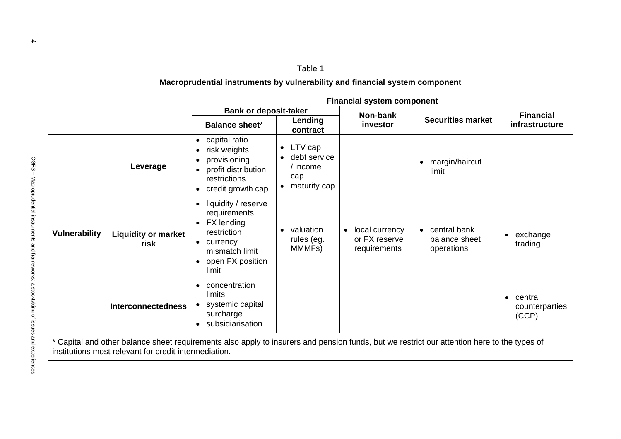|               |                                    | <b>Financial system component</b>                                                                                                                                  |                                                                                        |                                                              |                                                          |                                                 |
|---------------|------------------------------------|--------------------------------------------------------------------------------------------------------------------------------------------------------------------|----------------------------------------------------------------------------------------|--------------------------------------------------------------|----------------------------------------------------------|-------------------------------------------------|
|               |                                    | <b>Bank or deposit-taker</b>                                                                                                                                       |                                                                                        | Non-bank                                                     |                                                          | <b>Financial</b>                                |
|               |                                    | <b>Balance sheet*</b>                                                                                                                                              | Lending<br>contract                                                                    | investor                                                     | <b>Securities market</b>                                 | infrastructure                                  |
| Vulnerability | Leverage                           | capital ratio<br>$\bullet$<br>risk weights<br>٠<br>provisioning<br>profit distribution<br>$\bullet$<br>restrictions<br>credit growth cap<br>$\bullet$              | LTV cap<br>$\bullet$<br>debt service<br>$/$ income<br>cap<br>maturity cap<br>$\bullet$ |                                                              | margin/haircut<br>limit                                  |                                                 |
|               | <b>Liquidity or market</b><br>risk | liquidity / reserve<br>$\bullet$<br>requirements<br>FX lending<br>$\bullet$<br>restriction<br>currency<br>mismatch limit<br>open FX position<br>$\bullet$<br>limit | valuation<br>rules (eg.<br>MMMFs)                                                      | local currency<br>$\bullet$<br>or FX reserve<br>requirements | central bank<br>$\bullet$<br>balance sheet<br>operations | exchange<br>$\bullet$<br>trading                |
|               | <b>Interconnectedness</b>          | concentration<br>$\bullet$<br>limits<br>systemic capital<br>surcharge<br>subsidiarisation                                                                          |                                                                                        |                                                              |                                                          | central<br>$\bullet$<br>counterparties<br>(CCP) |

\* Capital and other balance sheet requirements also apply to insurers and pension funds, but we restrict our attention here to the types of institutions most relevant for credit intermediation.

#### Table 1

#### **Macroprudential instruments by vulnerability and financial system component**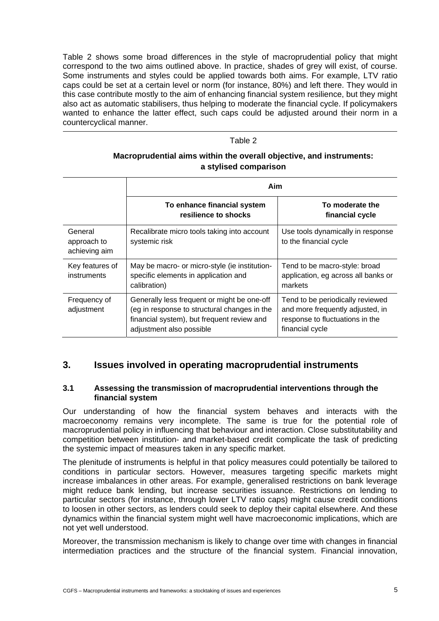Table 2 shows some broad differences in the style of macroprudential policy that might correspond to the two aims outlined above. In practice, shades of grey will exist, of course. Some instruments and styles could be applied towards both aims. For example, LTV ratio caps could be set at a certain level or norm (for instance, 80%) and left there. They would in this case contribute mostly to the aim of enhancing financial system resilience, but they might also act as automatic stabilisers, thus helping to moderate the financial cycle. If policymakers wanted to enhance the latter effect, such caps could be adjusted around their norm in a countercyclical manner.

#### Table 2

#### **Macroprudential aims within the overall objective, and instruments: a stylised comparison**

|                                         | Aim                                                                                                                                                                   |                                                                                                                            |  |
|-----------------------------------------|-----------------------------------------------------------------------------------------------------------------------------------------------------------------------|----------------------------------------------------------------------------------------------------------------------------|--|
|                                         | To enhance financial system<br>resilience to shocks                                                                                                                   | To moderate the<br>financial cycle                                                                                         |  |
| General<br>approach to<br>achieving aim | Recalibrate micro tools taking into account<br>systemic risk                                                                                                          | Use tools dynamically in response<br>to the financial cycle                                                                |  |
| Key features of<br>instruments          | May be macro- or micro-style (ie institution-<br>specific elements in application and<br>calibration)                                                                 | Tend to be macro-style: broad<br>application, eg across all banks or<br>markets                                            |  |
| Frequency of<br>adjustment              | Generally less frequent or might be one-off<br>(eg in response to structural changes in the<br>financial system), but frequent review and<br>adjustment also possible | Tend to be periodically reviewed<br>and more frequently adjusted, in<br>response to fluctuations in the<br>financial cycle |  |

# <span id="page-10-0"></span>**3. Issues involved in operating macroprudential instruments**

#### <span id="page-10-1"></span>**3.1 Assessing the transmission of macroprudential interventions through the financial system**

Our understanding of how the financial system behaves and interacts with the macroeconomy remains very incomplete. The same is true for the potential role of macroprudential policy in influencing that behaviour and interaction. Close substitutability and competition between institution- and market-based credit complicate the task of predicting the systemic impact of measures taken in any specific market.

The plenitude of instruments is helpful in that policy measures could potentially be tailored to conditions in particular sectors. However, measures targeting specific markets might increase imbalances in other areas. For example, generalised restrictions on bank leverage might reduce bank lending, but increase securities issuance. Restrictions on lending to particular sectors (for instance, through lower LTV ratio caps) might cause credit conditions to loosen in other sectors, as lenders could seek to deploy their capital elsewhere. And these dynamics within the financial system might well have macroeconomic implications, which are not yet well understood.

Moreover, the transmission mechanism is likely to change over time with changes in financial intermediation practices and the structure of the financial system. Financial innovation,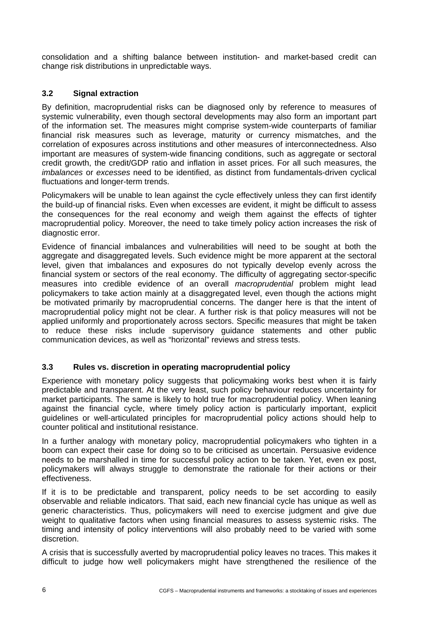consolidation and a shifting balance between institution- and market-based credit can change risk distributions in unpredictable ways.

#### <span id="page-11-0"></span>**3.2 Signal extraction**

By definition, macroprudential risks can be diagnosed only by reference to measures of systemic vulnerability, even though sectoral developments may also form an important part of the information set. The measures might comprise system-wide counterparts of familiar financial risk measures such as leverage, maturity or currency mismatches, and the correlation of exposures across institutions and other measures of interconnectedness. Also important are measures of system-wide financing conditions, such as aggregate or sectoral credit growth, the credit/GDP ratio and inflation in asset prices. For all such measures, the *imbalances* or *excesses* need to be identified, as distinct from fundamentals-driven cyclical fluctuations and longer-term trends.

Policymakers will be unable to lean against the cycle effectively unless they can first identify the build-up of financial risks. Even when excesses are evident, it might be difficult to assess the consequences for the real economy and weigh them against the effects of tighter macroprudential policy. Moreover, the need to take timely policy action increases the risk of diagnostic error.

Evidence of financial imbalances and vulnerabilities will need to be sought at both the aggregate and disaggregated levels. Such evidence might be more apparent at the sectoral level, given that imbalances and exposures do not typically develop evenly across the financial system or sectors of the real economy. The difficulty of aggregating sector-specific measures into credible evidence of an overall *macroprudential* problem might lead policymakers to take action mainly at a disaggregated level, even though the actions might be motivated primarily by macroprudential concerns. The danger here is that the intent of macroprudential policy might not be clear. A further risk is that policy measures will not be applied uniformly and proportionately across sectors. Specific measures that might be taken to reduce these risks include supervisory guidance statements and other public communication devices, as well as "horizontal" reviews and stress tests.

#### <span id="page-11-1"></span>**3.3 Rules vs. discretion in operating macroprudential policy**

Experience with monetary policy suggests that policymaking works best when it is fairly predictable and transparent. At the very least, such policy behaviour reduces uncertainty for market participants. The same is likely to hold true for macroprudential policy. When leaning against the financial cycle, where timely policy action is particularly important, explicit guidelines or well-articulated principles for macroprudential policy actions should help to counter political and institutional resistance.

In a further analogy with monetary policy, macroprudential policymakers who tighten in a boom can expect their case for doing so to be criticised as uncertain. Persuasive evidence needs to be marshalled in time for successful policy action to be taken. Yet, even ex post, policymakers will always struggle to demonstrate the rationale for their actions or their effectiveness.

If it is to be predictable and transparent, policy needs to be set according to easily observable and reliable indicators. That said, each new financial cycle has unique as well as generic characteristics. Thus, policymakers will need to exercise judgment and give due weight to qualitative factors when using financial measures to assess systemic risks. The timing and intensity of policy interventions will also probably need to be varied with some discretion.

A crisis that is successfully averted by macroprudential policy leaves no traces. This makes it difficult to judge how well policymakers might have strengthened the resilience of the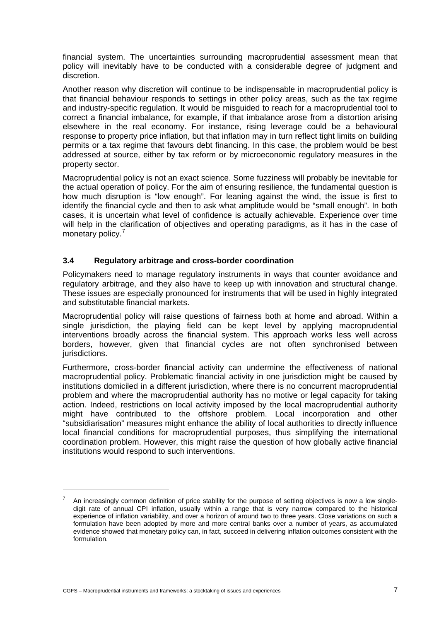financial system. The uncertainties surrounding macroprudential assessment mean that policy will inevitably have to be conducted with a considerable degree of judgment and discretion.

Another reason why discretion will continue to be indispensable in macroprudential policy is that financial behaviour responds to settings in other policy areas, such as the tax regime and industry-specific regulation. It would be misguided to reach for a macroprudential tool to correct a financial imbalance, for example, if that imbalance arose from a distortion arising elsewhere in the real economy. For instance, rising leverage could be a behavioural response to property price inflation, but that inflation may in turn reflect tight limits on building permits or a tax regime that favours debt financing. In this case, the problem would be best addressed at source, either by tax reform or by microeconomic regulatory measures in the property sector.

Macroprudential policy is not an exact science. Some fuzziness will probably be inevitable for the actual operation of policy. For the aim of ensuring resilience, the fundamental question is how much disruption is "low enough". For leaning against the wind, the issue is first to identify the financial cycle and then to ask what amplitude would be "small enough". In both cases, it is uncertain what level of confidence is actually achievable. Experience over time will help in the clarification of objectives and operating paradigms, as it has in the case of monetary policy.<sup>[7](#page-12-1)</sup>

#### <span id="page-12-0"></span>**3.4 Regulatory arbitrage and cross-border coordination**

Policymakers need to manage regulatory instruments in ways that counter avoidance and regulatory arbitrage, and they also have to keep up with innovation and structural change. These issues are especially pronounced for instruments that will be used in highly integrated and substitutable financial markets.

Macroprudential policy will raise questions of fairness both at home and abroad. Within a single jurisdiction, the playing field can be kept level by applying macroprudential interventions broadly across the financial system. This approach works less well across borders, however, given that financial cycles are not often synchronised between jurisdictions.

Furthermore, cross-border financial activity can undermine the effectiveness of national macroprudential policy. Problematic financial activity in one jurisdiction might be caused by institutions domiciled in a different jurisdiction, where there is no concurrent macroprudential problem and where the macroprudential authority has no motive or legal capacity for taking action. Indeed, restrictions on local activity imposed by the local macroprudential authority might have contributed to the offshore problem. Local incorporation and other "subsidiarisation" measures might enhance the ability of local authorities to directly influence local financial conditions for macroprudential purposes, thus simplifying the international coordination problem. However, this might raise the question of how globally active financial institutions would respond to such interventions.

<span id="page-12-1"></span><sup>7</sup> An increasingly common definition of price stability for the purpose of setting objectives is now a low singledigit rate of annual CPI inflation, usually within a range that is very narrow compared to the historical experience of inflation variability, and over a horizon of around two to three years. Close variations on such a formulation have been adopted by more and more central banks over a number of years, as accumulated evidence showed that monetary policy can, in fact, succeed in delivering inflation outcomes consistent with the formulation.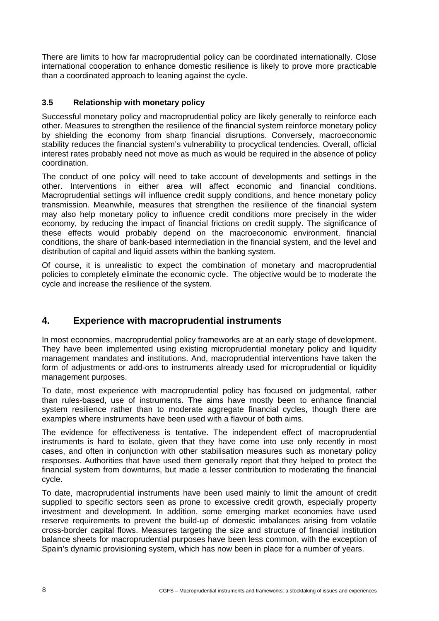There are limits to how far macroprudential policy can be coordinated internationally. Close international cooperation to enhance domestic resilience is likely to prove more practicable than a coordinated approach to leaning against the cycle.

#### <span id="page-13-0"></span>**3.5 Relationship with monetary policy**

Successful monetary policy and macroprudential policy are likely generally to reinforce each other. Measures to strengthen the resilience of the financial system reinforce monetary policy by shielding the economy from sharp financial disruptions. Conversely, macroeconomic stability reduces the financial system's vulnerability to procyclical tendencies. Overall, official interest rates probably need not move as much as would be required in the absence of policy coordination.

The conduct of one policy will need to take account of developments and settings in the other. Interventions in either area will affect economic and financial conditions. Macroprudential settings will influence credit supply conditions, and hence monetary policy transmission. Meanwhile, measures that strengthen the resilience of the financial system may also help monetary policy to influence credit conditions more precisely in the wider economy, by reducing the impact of financial frictions on credit supply. The significance of these effects would probably depend on the macroeconomic environment, financial conditions, the share of bank-based intermediation in the financial system, and the level and distribution of capital and liquid assets within the banking system.

Of course, it is unrealistic to expect the combination of monetary and macroprudential policies to completely eliminate the economic cycle. The objective would be to moderate the cycle and increase the resilience of the system.

# <span id="page-13-1"></span>**4. Experience with macroprudential instruments**

In most economies, macroprudential policy frameworks are at an early stage of development. They have been implemented using existing microprudential monetary policy and liquidity management mandates and institutions. And, macroprudential interventions have taken the form of adjustments or add-ons to instruments already used for microprudential or liquidity management purposes.

To date, most experience with macroprudential policy has focused on judgmental, rather than rules-based, use of instruments. The aims have mostly been to enhance financial system resilience rather than to moderate aggregate financial cycles, though there are examples where instruments have been used with a flavour of both aims.

The evidence for effectiveness is tentative. The independent effect of macroprudential instruments is hard to isolate, given that they have come into use only recently in most cases, and often in conjunction with other stabilisation measures such as monetary policy responses. Authorities that have used them generally report that they helped to protect the financial system from downturns, but made a lesser contribution to moderating the financial cycle.

To date, macroprudential instruments have been used mainly to limit the amount of credit supplied to specific sectors seen as prone to excessive credit growth, especially property investment and development. In addition, some emerging market economies have used reserve requirements to prevent the build-up of domestic imbalances arising from volatile cross-border capital flows. Measures targeting the size and structure of financial institution balance sheets for macroprudential purposes have been less common, with the exception of Spain's dynamic provisioning system, which has now been in place for a number of years.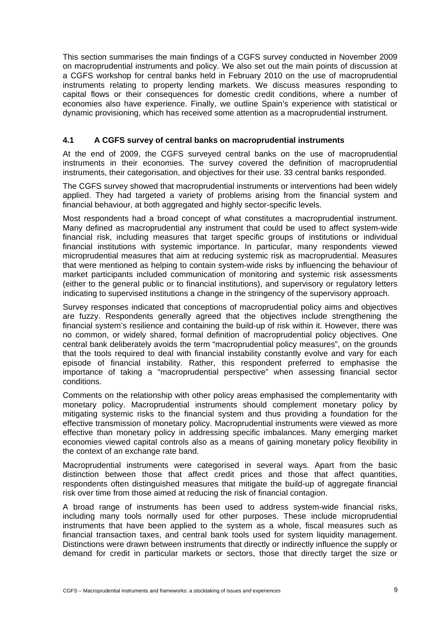This section summarises the main findings of a CGFS survey conducted in November 2009 on macroprudential instruments and policy. We also set out the main points of discussion at a CGFS workshop for central banks held in February 2010 on the use of macroprudential instruments relating to property lending markets. We discuss measures responding to capital flows or their consequences for domestic credit conditions, where a number of economies also have experience. Finally, we outline Spain's experience with statistical or dynamic provisioning, which has received some attention as a macroprudential instrument.

#### <span id="page-14-0"></span>**4.1 A CGFS survey of central banks on macroprudential instruments**

At the end of 2009, the CGFS surveyed central banks on the use of macroprudential instruments in their economies. The survey covered the definition of macroprudential instruments, their categorisation, and objectives for their use. 33 central banks responded.

The CGFS survey showed that macroprudential instruments or interventions had been widely applied. They had targeted a variety of problems arising from the financial system and financial behaviour, at both aggregated and highly sector-specific levels.

Most respondents had a broad concept of what constitutes a macroprudential instrument. Many defined as macroprudential any instrument that could be used to affect system-wide financial risk, including measures that target specific groups of institutions or individual financial institutions with systemic importance. In particular, many respondents viewed microprudential measures that aim at reducing systemic risk as macroprudential. Measures that were mentioned as helping to contain system-wide risks by influencing the behaviour of market participants included communication of monitoring and systemic risk assessments (either to the general public or to financial institutions), and supervisory or regulatory letters indicating to supervised institutions a change in the stringency of the supervisory approach.

Survey responses indicated that conceptions of macroprudential policy aims and objectives are fuzzy. Respondents generally agreed that the objectives include strengthening the financial system's resilience and containing the build-up of risk within it. However, there was no common, or widely shared, formal definition of macroprudential policy objectives. One central bank deliberately avoids the term "macroprudential policy measures", on the grounds that the tools required to deal with financial instability constantly evolve and vary for each episode of financial instability. Rather, this respondent preferred to emphasise the importance of taking a "macroprudential perspective" when assessing financial sector conditions.

Comments on the relationship with other policy areas emphasised the complementarity with monetary policy. Macroprudential instruments should complement monetary policy by mitigating systemic risks to the financial system and thus providing a foundation for the effective transmission of monetary policy. Macroprudential instruments were viewed as more effective than monetary policy in addressing specific imbalances. Many emerging market economies viewed capital controls also as a means of gaining monetary policy flexibility in the context of an exchange rate band.

Macroprudential instruments were categorised in several ways. Apart from the basic distinction between those that affect credit prices and those that affect quantities, respondents often distinguished measures that mitigate the build-up of aggregate financial risk over time from those aimed at reducing the risk of financial contagion.

A broad range of instruments has been used to address system-wide financial risks, including many tools normally used for other purposes. These include microprudential instruments that have been applied to the system as a whole, fiscal measures such as financial transaction taxes, and central bank tools used for system liquidity management. Distinctions were drawn between instruments that directly or indirectly influence the supply or demand for credit in particular markets or sectors, those that directly target the size or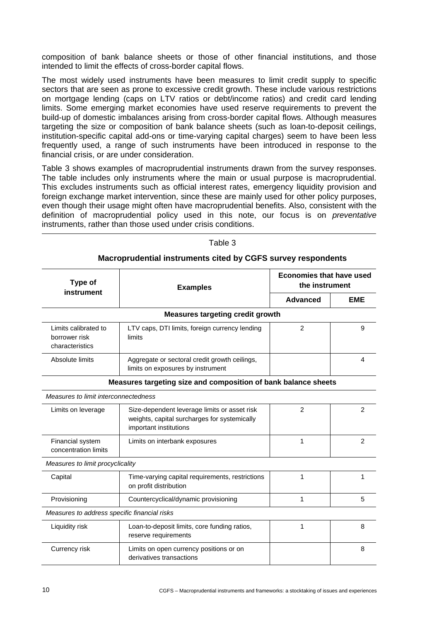composition of bank balance sheets or those of other financial institutions, and those intended to limit the effects of cross-border capital flows.

The most widely used instruments have been measures to limit credit supply to specific sectors that are seen as prone to excessive credit growth. These include various restrictions on mortgage lending (caps on LTV ratios or debt/income ratios) and credit card lending limits. Some emerging market economies have used reserve requirements to prevent the build-up of domestic imbalances arising from cross-border capital flows. Although measures targeting the size or composition of bank balance sheets (such as loan-to-deposit ceilings, institution-specific capital add-ons or time-varying capital charges) seem to have been less frequently used, a range of such instruments have been introduced in response to the financial crisis, or are under consideration.

Table 3 shows examples of macroprudential instruments drawn from the survey responses. The table includes only instruments where the main or usual purpose is macroprudential. This excludes instruments such as official interest rates, emergency liquidity provision and foreign exchange market intervention, since these are mainly used for other policy purposes, even though their usage might often have macroprudential benefits. Also, consistent with the definition of macroprudential policy used in this note, our focus is on *preventative*  instruments, rather than those used under crisis conditions.

| Type of<br>instrument                                          | <b>Examples</b>                                                                                                        | <b>Economies that have used</b><br>the instrument |            |  |
|----------------------------------------------------------------|------------------------------------------------------------------------------------------------------------------------|---------------------------------------------------|------------|--|
|                                                                |                                                                                                                        | Advanced                                          | <b>EME</b> |  |
|                                                                | <b>Measures targeting credit growth</b>                                                                                |                                                   |            |  |
| Limits calibrated to<br>borrower risk<br>characteristics       | LTV caps, DTI limits, foreign currency lending<br>limits                                                               | $\overline{2}$                                    | 9          |  |
| Absolute limits                                                | Aggregate or sectoral credit growth ceilings,<br>limits on exposures by instrument                                     |                                                   | 4          |  |
| Measures targeting size and composition of bank balance sheets |                                                                                                                        |                                                   |            |  |
| Measures to limit interconnectedness                           |                                                                                                                        |                                                   |            |  |
| Limits on leverage                                             | Size-dependent leverage limits or asset risk<br>weights, capital surcharges for systemically<br>important institutions | $\overline{2}$                                    | 2          |  |
| Financial system<br>concentration limits                       | Limits on interbank exposures                                                                                          | 1                                                 | 2          |  |
| Measures to limit procyclicality                               |                                                                                                                        |                                                   |            |  |
| Capital                                                        | Time-varying capital requirements, restrictions<br>on profit distribution                                              | 1                                                 | 1          |  |
| Provisioning                                                   | Countercyclical/dynamic provisioning                                                                                   | 1                                                 | 5          |  |
| Measures to address specific financial risks                   |                                                                                                                        |                                                   |            |  |
| Liquidity risk                                                 | Loan-to-deposit limits, core funding ratios,<br>reserve requirements                                                   | 1                                                 | 8          |  |
| Currency risk                                                  | Limits on open currency positions or on<br>derivatives transactions                                                    |                                                   | 8          |  |

Table 3

#### **Macroprudential instruments cited by CGFS survey respondents**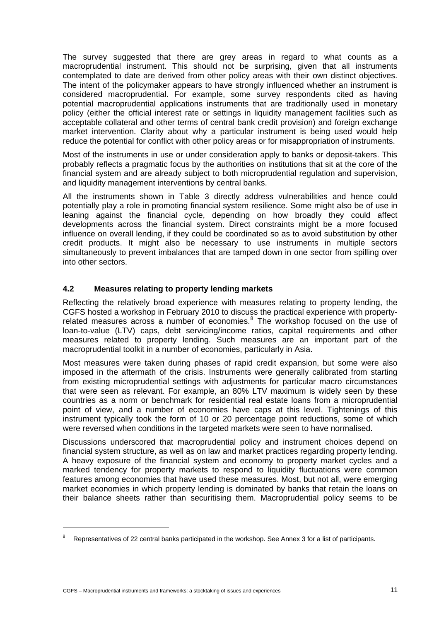The survey suggested that there are grey areas in regard to what counts as a macroprudential instrument. This should not be surprising, given that all instruments contemplated to date are derived from other policy areas with their own distinct objectives. The intent of the policymaker appears to have strongly influenced whether an instrument is considered macroprudential. For example, some survey respondents cited as having potential macroprudential applications instruments that are traditionally used in monetary policy (either the official interest rate or settings in liquidity management facilities such as acceptable collateral and other terms of central bank credit provision) and foreign exchange market intervention. Clarity about why a particular instrument is being used would help reduce the potential for conflict with other policy areas or for misappropriation of instruments.

Most of the instruments in use or under consideration apply to banks or deposit-takers. This probably reflects a pragmatic focus by the authorities on institutions that sit at the core of the financial system and are already subject to both microprudential regulation and supervision, and liquidity management interventions by central banks.

All the instruments shown in Table 3 directly address vulnerabilities and hence could potentially play a role in promoting financial system resilience. Some might also be of use in leaning against the financial cycle, depending on how broadly they could affect developments across the financial system. Direct constraints might be a more focused influence on overall lending, if they could be coordinated so as to avoid substitution by other credit products. It might also be necessary to use instruments in multiple sectors simultaneously to prevent imbalances that are tamped down in one sector from spilling over into other sectors.

#### <span id="page-16-0"></span>**4.2 Measures relating to property lending markets**

Reflecting the relatively broad experience with measures relating to property lending, the CGFS hosted a workshop in February 2010 to discuss the practical experience with property-related measures across a number of economies.<sup>[8](#page-16-1)</sup> The workshop focused on the use of loan-to-value (LTV) caps, debt servicing/income ratios, capital requirements and other measures related to property lending. Such measures are an important part of the macroprudential toolkit in a number of economies, particularly in Asia.

Most measures were taken during phases of rapid credit expansion, but some were also imposed in the aftermath of the crisis. Instruments were generally calibrated from starting from existing microprudential settings with adjustments for particular macro circumstances that were seen as relevant. For example, an 80% LTV maximum is widely seen by these countries as a norm or benchmark for residential real estate loans from a microprudential point of view, and a number of economies have caps at this level. Tightenings of this instrument typically took the form of 10 or 20 percentage point reductions, some of which were reversed when conditions in the targeted markets were seen to have normalised.

Discussions underscored that macroprudential policy and instrument choices depend on financial system structure, as well as on law and market practices regarding property lending. A heavy exposure of the financial system and economy to property market cycles and a marked tendency for property markets to respond to liquidity fluctuations were common features among economies that have used these measures. Most, but not all, were emerging market economies in which property lending is dominated by banks that retain the loans on their balance sheets rather than securitising them. Macroprudential policy seems to be

<span id="page-16-1"></span><sup>8</sup> Representatives of 22 central banks participated in the workshop. See Annex 3 for a list of participants.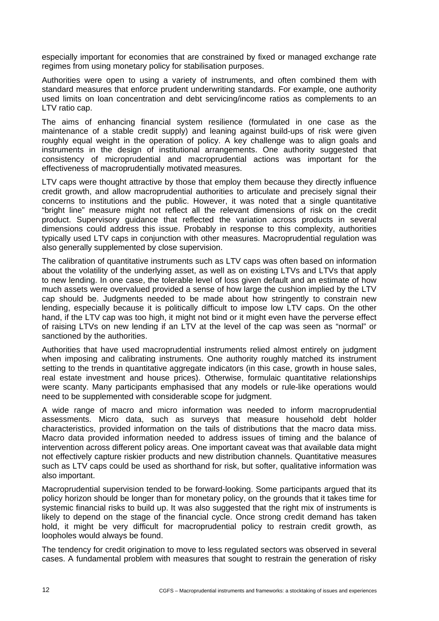especially important for economies that are constrained by fixed or managed exchange rate regimes from using monetary policy for stabilisation purposes.

Authorities were open to using a variety of instruments, and often combined them with standard measures that enforce prudent underwriting standards. For example, one authority used limits on loan concentration and debt servicing/income ratios as complements to an LTV ratio cap.

The aims of enhancing financial system resilience (formulated in one case as the maintenance of a stable credit supply) and leaning against build-ups of risk were given roughly equal weight in the operation of policy. A key challenge was to align goals and instruments in the design of institutional arrangements. One authority suggested that consistency of microprudential and macroprudential actions was important for the effectiveness of macroprudentially motivated measures.

LTV caps were thought attractive by those that employ them because they directly influence credit growth, and allow macroprudential authorities to articulate and precisely signal their concerns to institutions and the public. However, it was noted that a single quantitative "bright line" measure might not reflect all the relevant dimensions of risk on the credit product. Supervisory guidance that reflected the variation across products in several dimensions could address this issue. Probably in response to this complexity, authorities typically used LTV caps in conjunction with other measures. Macroprudential regulation was also generally supplemented by close supervision.

The calibration of quantitative instruments such as LTV caps was often based on information about the volatility of the underlying asset, as well as on existing LTVs and LTVs that apply to new lending. In one case, the tolerable level of loss given default and an estimate of how much assets were overvalued provided a sense of how large the cushion implied by the LTV cap should be. Judgments needed to be made about how stringently to constrain new lending, especially because it is politically difficult to impose low LTV caps. On the other hand, if the LTV cap was too high, it might not bind or it might even have the perverse effect of raising LTVs on new lending if an LTV at the level of the cap was seen as "normal" or sanctioned by the authorities.

Authorities that have used macroprudential instruments relied almost entirely on judgment when imposing and calibrating instruments. One authority roughly matched its instrument setting to the trends in quantitative aggregate indicators (in this case, growth in house sales, real estate investment and house prices). Otherwise, formulaic quantitative relationships were scanty. Many participants emphasised that any models or rule-like operations would need to be supplemented with considerable scope for judgment.

A wide range of macro and micro information was needed to inform macroprudential assessments. Micro data, such as surveys that measure household debt holder characteristics, provided information on the tails of distributions that the macro data miss. Macro data provided information needed to address issues of timing and the balance of intervention across different policy areas. One important caveat was that available data might not effectively capture riskier products and new distribution channels. Quantitative measures such as LTV caps could be used as shorthand for risk, but softer, qualitative information was also important.

Macroprudential supervision tended to be forward-looking. Some participants argued that its policy horizon should be longer than for monetary policy, on the grounds that it takes time for systemic financial risks to build up. It was also suggested that the right mix of instruments is likely to depend on the stage of the financial cycle. Once strong credit demand has taken hold, it might be very difficult for macroprudential policy to restrain credit growth, as loopholes would always be found.

The tendency for credit origination to move to less regulated sectors was observed in several cases. A fundamental problem with measures that sought to restrain the generation of risky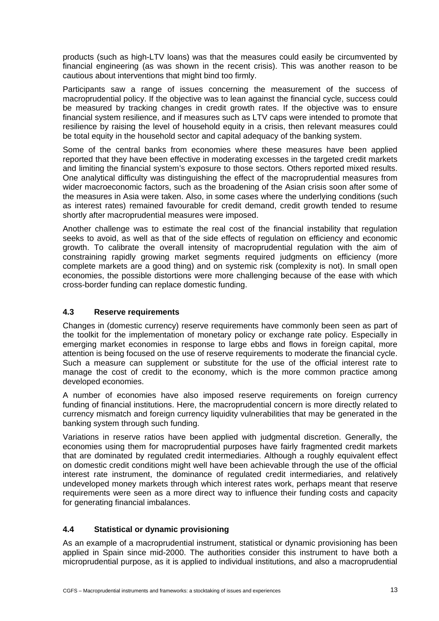products (such as high-LTV loans) was that the measures could easily be circumvented by financial engineering (as was shown in the recent crisis). This was another reason to be cautious about interventions that might bind too firmly.

Participants saw a range of issues concerning the measurement of the success of macroprudential policy. If the objective was to lean against the financial cycle, success could be measured by tracking changes in credit growth rates. If the objective was to ensure financial system resilience, and if measures such as LTV caps were intended to promote that resilience by raising the level of household equity in a crisis, then relevant measures could be total equity in the household sector and capital adequacy of the banking system.

Some of the central banks from economies where these measures have been applied reported that they have been effective in moderating excesses in the targeted credit markets and limiting the financial system's exposure to those sectors. Others reported mixed results. One analytical difficulty was distinguishing the effect of the macroprudential measures from wider macroeconomic factors, such as the broadening of the Asian crisis soon after some of the measures in Asia were taken. Also, in some cases where the underlying conditions (such as interest rates) remained favourable for credit demand, credit growth tended to resume shortly after macroprudential measures were imposed.

Another challenge was to estimate the real cost of the financial instability that regulation seeks to avoid, as well as that of the side effects of regulation on efficiency and economic growth. To calibrate the overall intensity of macroprudential regulation with the aim of constraining rapidly growing market segments required judgments on efficiency (more complete markets are a good thing) and on systemic risk (complexity is not). In small open economies, the possible distortions were more challenging because of the ease with which cross-border funding can replace domestic funding.

#### <span id="page-18-0"></span>**4.3 Reserve requirements**

Changes in (domestic currency) reserve requirements have commonly been seen as part of the toolkit for the implementation of monetary policy or exchange rate policy. Especially in emerging market economies in response to large ebbs and flows in foreign capital, more attention is being focused on the use of reserve requirements to moderate the financial cycle. Such a measure can supplement or substitute for the use of the official interest rate to manage the cost of credit to the economy, which is the more common practice among developed economies.

A number of economies have also imposed reserve requirements on foreign currency funding of financial institutions. Here, the macroprudential concern is more directly related to currency mismatch and foreign currency liquidity vulnerabilities that may be generated in the banking system through such funding.

Variations in reserve ratios have been applied with judgmental discretion. Generally, the economies using them for macroprudential purposes have fairly fragmented credit markets that are dominated by regulated credit intermediaries. Although a roughly equivalent effect on domestic credit conditions might well have been achievable through the use of the official interest rate instrument, the dominance of regulated credit intermediaries, and relatively undeveloped money markets through which interest rates work, perhaps meant that reserve requirements were seen as a more direct way to influence their funding costs and capacity for generating financial imbalances.

#### <span id="page-18-1"></span>**4.4 Statistical or dynamic provisioning**

As an example of a macroprudential instrument, statistical or dynamic provisioning has been applied in Spain since mid-2000. The authorities consider this instrument to have both a microprudential purpose, as it is applied to individual institutions, and also a macroprudential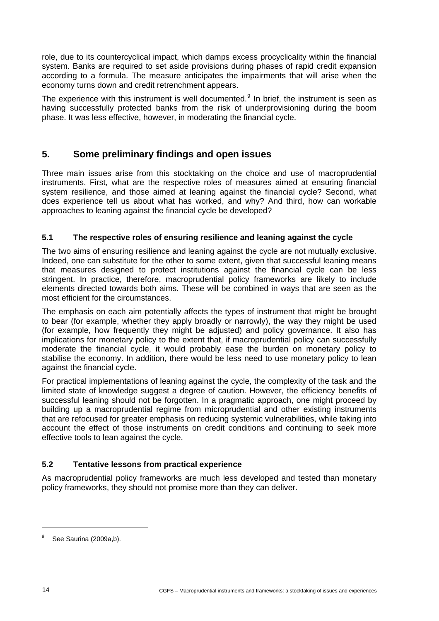role, due to its countercyclical impact, which damps excess procyclicality within the financial system. Banks are required to set aside provisions during phases of rapid credit expansion according to a formula. The measure anticipates the impairments that will arise when the economy turns down and credit retrenchment appears.

The experience with this instrument is well documented. $9$  In brief, the instrument is seen as having successfully protected banks from the risk of underprovisioning during the boom phase. It was less effective, however, in moderating the financial cycle.

# <span id="page-19-0"></span>**5. Some preliminary findings and open issues**

Three main issues arise from this stocktaking on the choice and use of macroprudential instruments. First, what are the respective roles of measures aimed at ensuring financial system resilience, and those aimed at leaning against the financial cycle? Second, what does experience tell us about what has worked, and why? And third, how can workable approaches to leaning against the financial cycle be developed?

#### <span id="page-19-1"></span>**5.1 The respective roles of ensuring resilience and leaning against the cycle**

The two aims of ensuring resilience and leaning against the cycle are not mutually exclusive. Indeed, one can substitute for the other to some extent, given that successful leaning means that measures designed to protect institutions against the financial cycle can be less stringent. In practice, therefore, macroprudential policy frameworks are likely to include elements directed towards both aims. These will be combined in ways that are seen as the most efficient for the circumstances.

The emphasis on each aim potentially affects the types of instrument that might be brought to bear (for example, whether they apply broadly or narrowly), the way they might be used (for example, how frequently they might be adjusted) and policy governance. It also has implications for monetary policy to the extent that, if macroprudential policy can successfully moderate the financial cycle, it would probably ease the burden on monetary policy to stabilise the economy. In addition, there would be less need to use monetary policy to lean against the financial cycle.

For practical implementations of leaning against the cycle, the complexity of the task and the limited state of knowledge suggest a degree of caution. However, the efficiency benefits of successful leaning should not be forgotten. In a pragmatic approach, one might proceed by building up a macroprudential regime from microprudential and other existing instruments that are refocused for greater emphasis on reducing systemic vulnerabilities, while taking into account the effect of those instruments on credit conditions and continuing to seek more effective tools to lean against the cycle.

#### <span id="page-19-2"></span>**5.2 Tentative lessons from practical experience**

As macroprudential policy frameworks are much less developed and tested than monetary policy frameworks, they should not promise more than they can deliver.

<span id="page-19-3"></span><sup>9</sup> See Saurina (2009a,b).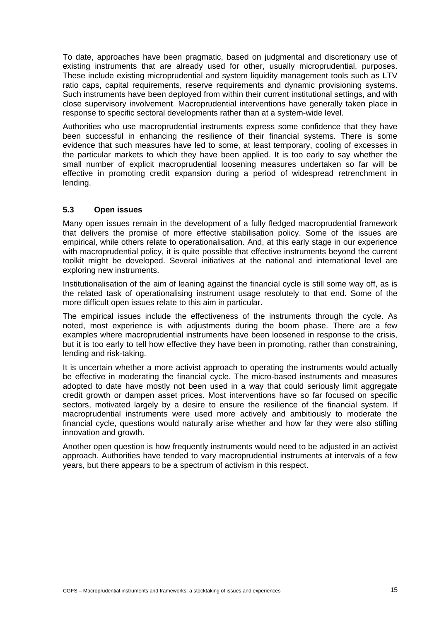To date, approaches have been pragmatic, based on judgmental and discretionary use of existing instruments that are already used for other, usually microprudential, purposes. These include existing microprudential and system liquidity management tools such as LTV ratio caps, capital requirements, reserve requirements and dynamic provisioning systems. Such instruments have been deployed from within their current institutional settings, and with close supervisory involvement. Macroprudential interventions have generally taken place in response to specific sectoral developments rather than at a system-wide level.

Authorities who use macroprudential instruments express some confidence that they have been successful in enhancing the resilience of their financial systems. There is some evidence that such measures have led to some, at least temporary, cooling of excesses in the particular markets to which they have been applied. It is too early to say whether the small number of explicit macroprudential loosening measures undertaken so far will be effective in promoting credit expansion during a period of widespread retrenchment in lending.

#### <span id="page-20-0"></span>**5.3 Open issues**

Many open issues remain in the development of a fully fledged macroprudential framework that delivers the promise of more effective stabilisation policy. Some of the issues are empirical, while others relate to operationalisation. And, at this early stage in our experience with macroprudential policy, it is quite possible that effective instruments beyond the current toolkit might be developed. Several initiatives at the national and international level are exploring new instruments.

Institutionalisation of the aim of leaning against the financial cycle is still some way off, as is the related task of operationalising instrument usage resolutely to that end. Some of the more difficult open issues relate to this aim in particular.

The empirical issues include the effectiveness of the instruments through the cycle. As noted, most experience is with adjustments during the boom phase. There are a few examples where macroprudential instruments have been loosened in response to the crisis, but it is too early to tell how effective they have been in promoting, rather than constraining, lending and risk-taking.

It is uncertain whether a more activist approach to operating the instruments would actually be effective in moderating the financial cycle. The micro-based instruments and measures adopted to date have mostly not been used in a way that could seriously limit aggregate credit growth or dampen asset prices. Most interventions have so far focused on specific sectors, motivated largely by a desire to ensure the resilience of the financial system. If macroprudential instruments were used more actively and ambitiously to moderate the financial cycle, questions would naturally arise whether and how far they were also stifling innovation and growth.

Another open question is how frequently instruments would need to be adjusted in an activist approach. Authorities have tended to vary macroprudential instruments at intervals of a few years, but there appears to be a spectrum of activism in this respect.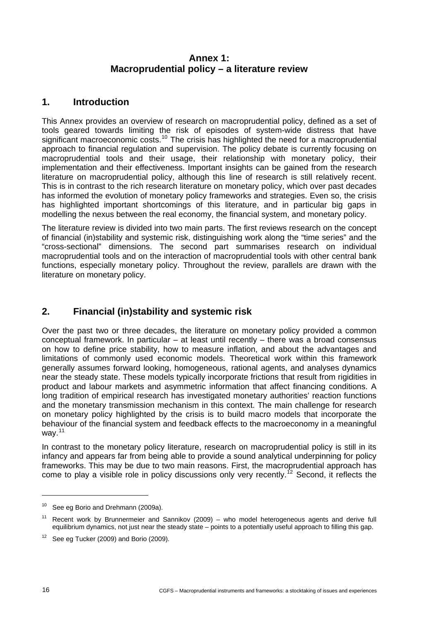# **Annex 1: Macroprudential policy – a literature review**

# <span id="page-21-0"></span>**1. Introduction**

This Annex provides an overview of research on macroprudential policy, defined as a set of tools geared towards limiting the risk of episodes of system-wide distress that have significant macroeconomic costs.<sup>[10](#page-21-1)</sup> The crisis has highlighted the need for a macroprudential approach to financial regulation and supervision. The policy debate is currently focusing on macroprudential tools and their usage, their relationship with monetary policy, their implementation and their effectiveness. Important insights can be gained from the research literature on macroprudential policy, although this line of research is still relatively recent. This is in contrast to the rich research literature on monetary policy, which over past decades has informed the evolution of monetary policy frameworks and strategies. Even so, the crisis has highlighted important shortcomings of this literature, and in particular big gaps in modelling the nexus between the real economy, the financial system, and monetary policy.

The literature review is divided into two main parts. The first reviews research on the concept of financial (in)stability and systemic risk, distinguishing work along the "time series" and the "cross-sectional" dimensions. The second part summarises research on individual macroprudential tools and on the interaction of macroprudential tools with other central bank functions, especially monetary policy. Throughout the review, parallels are drawn with the literature on monetary policy.

# **2. Financial (in)stability and systemic risk**

Over the past two or three decades, the literature on monetary policy provided a common conceptual framework. In particular – at least until recently – there was a broad consensus on how to define price stability, how to measure inflation, and about the advantages and limitations of commonly used economic models. Theoretical work within this framework generally assumes forward looking, homogeneous, rational agents, and analyses dynamics near the steady state. These models typically incorporate frictions that result from rigidities in product and labour markets and asymmetric information that affect financing conditions. A long tradition of empirical research has investigated monetary authorities' reaction functions and the monetary transmission mechanism in this context. The main challenge for research on monetary policy highlighted by the crisis is to build macro models that incorporate the behaviour of the financial system and feedback effects to the macroeconomy in a meaningful way. $11$ 

In contrast to the monetary policy literature, research on macroprudential policy is still in its infancy and appears far from being able to provide a sound analytical underpinning for policy frameworks. This may be due to two main reasons. First, the macroprudential approach has come to play a visible role in policy discussions only very recently.<sup>[12](#page-21-3)</sup> Second, it reflects the

<span id="page-21-1"></span><sup>&</sup>lt;sup>10</sup> See eg Borio and Drehmann (2009a).

<span id="page-21-2"></span>Recent work by Brunnermeier and Sannikov (2009) – who model heterogeneous agents and derive full equilibrium dynamics, not just near the steady state – points to a potentially useful approach to filling this gap.

<span id="page-21-3"></span> $12$  See eg Tucker (2009) and Borio (2009).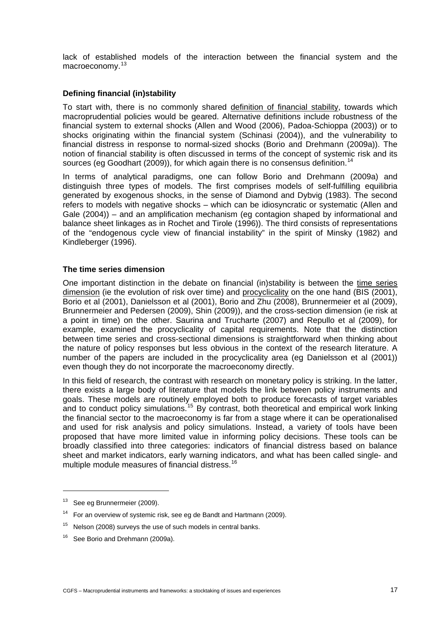lack of established models of the interaction between the financial system and the macroeconomy.<sup>[13](#page-22-0)</sup>

#### **Defining financial (in)stability**

To start with, there is no commonly shared definition of financial stability, towards which macroprudential policies would be geared. Alternative definitions include robustness of the financial system to external shocks (Allen and Wood (2006), Padoa-Schioppa (2003)) or to shocks originating within the financial system (Schinasi (2004)), and the vulnerability to financial distress in response to normal-sized shocks (Borio and Drehmann (2009a)). The notion of financial stability is often discussed in terms of the concept of systemic risk and its sources (eg Goodhart (2009)), for which again there is no consensus definition.<sup>[14](#page-22-1)</sup>

In terms of analytical paradigms, one can follow Borio and Drehmann (2009a) and distinguish three types of models. The first comprises models of self-fulfilling equilibria generated by exogenous shocks, in the sense of Diamond and Dybvig (1983). The second refers to models with negative shocks – which can be idiosyncratic or systematic (Allen and Gale (2004)) – and an amplification mechanism (eg contagion shaped by informational and balance sheet linkages as in Rochet and Tirole (1996)). The third consists of representations of the "endogenous cycle view of financial instability" in the spirit of Minsky (1982) and Kindleberger (1996).

#### **The time series dimension**

One important distinction in the debate on financial (in)stability is between the time series dimension (ie the evolution of risk over time) and procyclicality on the one hand (BIS (2001), Borio et al (2001), Danielsson et al (2001), Borio and Zhu (2008), Brunnermeier et al (2009), Brunnermeier and Pedersen (2009), Shin (2009)), and the cross-section dimension (ie risk at a point in time) on the other. Saurina and Trucharte (2007) and Repullo et al (2009), for example, examined the procyclicality of capital requirements. Note that the distinction between time series and cross-sectional dimensions is straightforward when thinking about the nature of policy responses but less obvious in the context of the research literature. A number of the papers are included in the procyclicality area (eg Danielsson et al (2001)) even though they do not incorporate the macroeconomy directly.

In this field of research, the contrast with research on monetary policy is striking. In the latter, there exists a large body of literature that models the link between policy instruments and goals. These models are routinely employed both to produce forecasts of target variables and to conduct policy simulations.<sup>[15](#page-22-2)</sup> By contrast, both theoretical and empirical work linking the financial sector to the macroeconomy is far from a stage where it can be operationalised and used for risk analysis and policy simulations. Instead, a variety of tools have been proposed that have more limited value in informing policy decisions. These tools can be broadly classified into three categories: indicators of financial distress based on balance sheet and market indicators, early warning indicators, and what has been called single- and multiple module measures of financial distress.[16](#page-22-3)

<span id="page-22-0"></span><sup>&</sup>lt;sup>13</sup> See eg Brunnermeier (2009).

<span id="page-22-1"></span> $14$  For an overview of systemic risk, see eg de Bandt and Hartmann (2009).

<span id="page-22-2"></span> $15$  Nelson (2008) surveys the use of such models in central banks.

<span id="page-22-3"></span><sup>&</sup>lt;sup>16</sup> See Borio and Drehmann (2009a).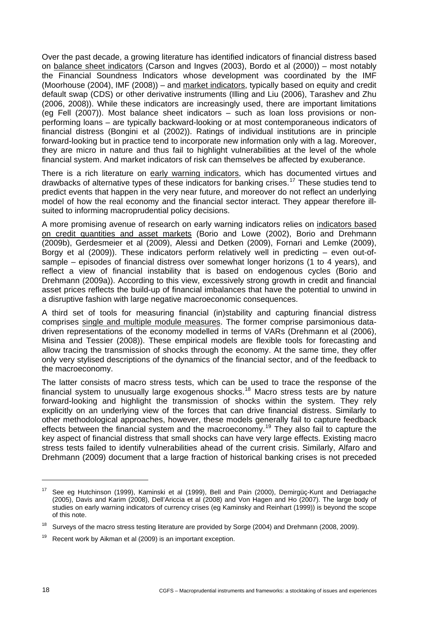Over the past decade, a growing literature has identified indicators of financial distress based on balance sheet indicators (Carson and Ingves (2003), Bordo et al (2000)) – most notably the Financial Soundness Indicators whose development was coordinated by the IMF (Moorhouse (2004), IMF (2008)) – and market indicators, typically based on equity and credit default swap (CDS) or other derivative instruments (Illing and Liu (2006), Tarashev and Zhu (2006, 2008)). While these indicators are increasingly used, there are important limitations (eg Fell (2007)). Most balance sheet indicators – such as loan loss provisions or nonperforming loans – are typically backward-looking or at most contemporaneous indicators of financial distress (Bongini et al (2002)). Ratings of individual institutions are in principle forward-looking but in practice tend to incorporate new information only with a lag. Moreover, they are micro in nature and thus fail to highlight vulnerabilities at the level of the whole financial system. And market indicators of risk can themselves be affected by exuberance.

There is a rich literature on early warning indicators, which has documented virtues and drawbacks of alternative types of these indicators for banking crises.<sup>[17](#page-23-0)</sup> These studies tend to predict events that happen in the very near future, and moreover do not reflect an underlying model of how the real economy and the financial sector interact. They appear therefore illsuited to informing macroprudential policy decisions.

A more promising avenue of research on early warning indicators relies on indicators based on credit quantities and asset markets (Borio and Lowe (2002), Borio and Drehmann (2009b), Gerdesmeier et al (2009), Alessi and Detken (2009), Fornari and Lemke (2009), Borgy et al (2009)). These indicators perform relatively well in predicting – even out-ofsample – episodes of financial distress over somewhat longer horizons (1 to 4 years), and reflect a view of financial instability that is based on endogenous cycles (Borio and Drehmann (2009a)). According to this view, excessively strong growth in credit and financial asset prices reflects the build-up of financial imbalances that have the potential to unwind in a disruptive fashion with large negative macroeconomic consequences.

A third set of tools for measuring financial (in)stability and capturing financial distress comprises single and multiple module measures. The former comprise parsimonious datadriven representations of the economy modelled in terms of VARs (Drehmann et al (2006), Misina and Tessier (2008)). These empirical models are flexible tools for forecasting and allow tracing the transmission of shocks through the economy. At the same time, they offer only very stylised descriptions of the dynamics of the financial sector, and of the feedback to the macroeconomy.

The latter consists of macro stress tests, which can be used to trace the response of the financial system to unusually large exogenous shocks.<sup>[18](#page-23-1)</sup> Macro stress tests are by nature forward-looking and highlight the transmission of shocks within the system. They rely explicitly on an underlying view of the forces that can drive financial distress. Similarly to other methodological approaches, however, these models generally fail to capture feedback effects between the financial system and the macroeconomy.<sup>[19](#page-23-2)</sup> They also fail to capture the key aspect of financial distress that small shocks can have very large effects. Existing macro stress tests failed to identify vulnerabilities ahead of the current crisis. Similarly, Alfaro and Drehmann (2009) document that a large fraction of historical banking crises is not preceded

<span id="page-23-0"></span><sup>&</sup>lt;sup>17</sup> See eg Hutchinson (1999), Kaminski et al (1999), Bell and Pain (2000), Demirgüç-Kunt and Detriagache (2005), Davis and Karim (2008), Dell'Ariccia et al (2008) and Von Hagen and Ho (2007). The large body of studies on early warning indicators of currency crises (eg Kaminsky and Reinhart (1999)) is beyond the scope of this note.

<span id="page-23-1"></span><sup>18</sup> Surveys of the macro stress testing literature are provided by Sorge (2004) and Drehmann (2008, 2009).

<span id="page-23-2"></span> $19$  Recent work by Aikman et al (2009) is an important exception.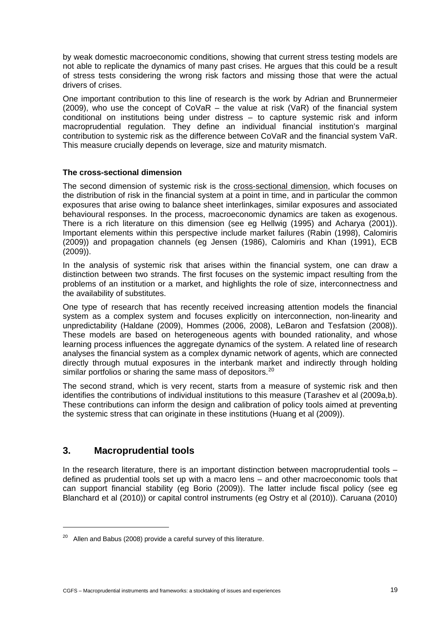by weak domestic macroeconomic conditions, showing that current stress testing models are not able to replicate the dynamics of many past crises. He argues that this could be a result of stress tests considering the wrong risk factors and missing those that were the actual drivers of crises.

One important contribution to this line of research is the work by Adrian and Brunnermeier (2009), who use the concept of CoVaR – the value at risk (VaR) of the financial system conditional on institutions being under distress – to capture systemic risk and inform macroprudential regulation. They define an individual financial institution's marginal contribution to systemic risk as the difference between CoVaR and the financial system VaR. This measure crucially depends on leverage, size and maturity mismatch.

#### **The cross-sectional dimension**

The second dimension of systemic risk is the cross-sectional dimension, which focuses on the distribution of risk in the financial system at a point in time, and in particular the common exposures that arise owing to balance sheet interlinkages, similar exposures and associated behavioural responses. In the process, macroeconomic dynamics are taken as exogenous. There is a rich literature on this dimension (see eg Hellwig (1995) and Acharya (2001)). Important elements within this perspective include market failures (Rabin (1998), Calomiris (2009)) and propagation channels (eg Jensen (1986), Calomiris and Khan (1991), ECB (2009)).

In the analysis of systemic risk that arises within the financial system, one can draw a distinction between two strands. The first focuses on the systemic impact resulting from the problems of an institution or a market, and highlights the role of size, interconnectness and the availability of substitutes.

One type of research that has recently received increasing attention models the financial system as a complex system and focuses explicitly on interconnection, non-linearity and unpredictability (Haldane (2009), Hommes (2006, 2008), LeBaron and Tesfatsion (2008)). These models are based on heterogeneous agents with bounded rationality, and whose learning process influences the aggregate dynamics of the system. A related line of research analyses the financial system as a complex dynamic network of agents, which are connected directly through mutual exposures in the interbank market and indirectly through holding similar portfolios or sharing the same mass of depositors.<sup>[20](#page-24-0)</sup>

The second strand, which is very recent, starts from a measure of systemic risk and then identifies the contributions of individual institutions to this measure (Tarashev et al (2009a,b). These contributions can inform the design and calibration of policy tools aimed at preventing the systemic stress that can originate in these institutions (Huang et al (2009)).

# **3. Macroprudential tools**

 $\overline{a}$ 

In the research literature, there is an important distinction between macroprudential tools – defined as prudential tools set up with a macro lens – and other macroeconomic tools that can support financial stability (eg Borio (2009)). The latter include fiscal policy (see eg Blanchard et al (2010)) or capital control instruments (eg Ostry et al (2010)). Caruana (2010)

<span id="page-24-0"></span> $20$  Allen and Babus (2008) provide a careful survey of this literature.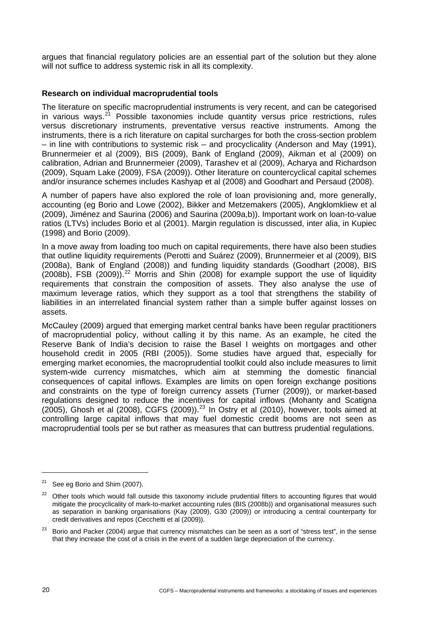argues that financial regulatory policies are an essential part of the solution but they alone will not suffice to address systemic risk in all its complexity.

#### **Research on individual macroprudential tools**

The literature on specific macroprudential instruments is very recent, and can be categorised in various ways. $2^1$  Possible taxonomies include quantity versus price restrictions, rules versus discretionary instruments, preventative versus reactive instruments. Among the instruments, there is a rich literature on capital surcharges for both the cross-section problem – in line with contributions to systemic risk – and procyclicality (Anderson and May (1991), Brunnermeier et al (2009), BIS (2009), Bank of England (2009), Aikman et al (2009) on calibration, Adrian and Brunnermeier (2009), Tarashev et al (2009), Acharya and Richardson (2009), Squam Lake (2009), FSA (2009)). Other literature on countercyclical capital schemes and/or insurance schemes includes Kashyap et al (2008) and Goodhart and Persaud (2008).

A number of papers have also explored the role of loan provisioning and, more generally, accounting (eg Borio and Lowe (2002), Bikker and Metzemakers (2005), Angklomkliew et al (2009), Jiménez and Saurina (2006) and Saurina (2009a,b)). Important work on loan-to-value ratios (LTVs) includes Borio et al (2001). Margin regulation is discussed, inter alia, in Kupiec (1998) and Borio (2009).

In a move away from loading too much on capital requirements, there have also been studies that outline liquidity requirements (Perotti and Suárez (2009), Brunnermeier et al (2009), BIS (2008a), Bank of England (2008)) and funding liquidity standards (Goodhart (2008), BIS  $(2008b)$ , FSB  $(2009)$ .<sup>[22](#page-25-1)</sup> Morris and Shin  $(2008)$  for example support the use of liquidity requirements that constrain the composition of assets. They also analyse the use of maximum leverage ratios, which they support as a tool that strengthens the stability of liabilities in an interrelated financial system rather than a simple buffer against losses on assets.

McCauley (2009) argued that emerging market central banks have been regular practitioners of macroprudential policy, without calling it by this name. As an example, he cited the Reserve Bank of India's decision to raise the Basel I weights on mortgages and other household credit in 2005 (RBI (2005)). Some studies have argued that, especially for emerging market economies, the macroprudential toolkit could also include measures to limit system-wide currency mismatches, which aim at stemming the domestic financial consequences of capital inflows. Examples are limits on open foreign exchange positions and constraints on the type of foreign currency assets (Turner (2009)), or market-based regulations designed to reduce the incentives for capital inflows (Mohanty and Scatigna (2005), Ghosh et al (2008), CGFS (2009)).[23](#page-25-2) In Ostry et al (2010), however, tools aimed at controlling large capital inflows that may fuel domestic credit booms are not seen as macroprudential tools per se but rather as measures that can buttress prudential regulations.

<span id="page-25-0"></span><sup>&</sup>lt;sup>21</sup> See eg Borio and Shim (2007).

<span id="page-25-1"></span><sup>&</sup>lt;sup>22</sup> Other tools which would fall outside this taxonomy include prudential filters to accounting figures that would mitigate the procyclicality of mark-to-market accounting rules (BIS (2008b)) and organisational measures such as separation in banking organisations (Kay (2009), G30 (2009)) or introducing a central counterparty for credit derivatives and repos (Cecchetti et al (2009)).

<span id="page-25-2"></span>Borio and Packer (2004) argue that currency mismatches can be seen as a sort of "stress test", in the sense that they increase the cost of a crisis in the event of a sudden large depreciation of the currency.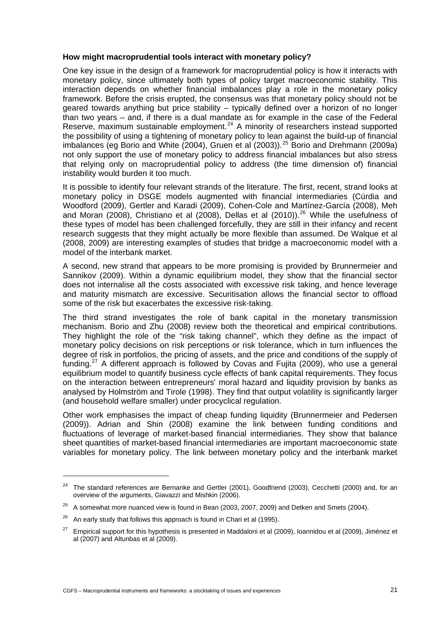#### **How might macroprudential tools interact with monetary policy?**

One key issue in the design of a framework for macroprudential policy is how it interacts with monetary policy, since ultimately both types of policy target macroeconomic stability. This interaction depends on whether financial imbalances play a role in the monetary policy framework. Before the crisis erupted, the consensus was that monetary policy should not be geared towards anything but price stability – typically defined over a horizon of no longer than two years – and, if there is a dual mandate as for example in the case of the Federal Reserve, maximum sustainable employment.<sup>[24](#page-26-0)</sup> A minority of researchers instead supported the possibility of using a tightening of monetary policy to lean against the build-up of financial ing pecals in y or denig a tightering of monetary pency to feart again of the same up of infarrolar<br>imbalances (eg Borio and White (2004), Gruen et al (2003)).<sup>[25](#page-26-1)</sup> Borio and Drehmann (2009a) not only support the use of monetary policy to address financial imbalances but also stress that relying only on macroprudential policy to address (the time dimension of) financial instability would burden it too much.

It is possible to identify four relevant strands of the literature. The first, recent, strand looks at monetary policy in DSGE models augmented with financial intermediaries (Cúrdia and Woodford (2009), Gertler and Karadi (2009), Cohen-Cole and Martínez-García (2008), Meh and Moran (2008), Christiano et al (2008), Dellas et al (2010)).<sup>[26](#page-26-2)</sup> While the usefulness of these types of model has been challenged forcefully, they are still in their infancy and recent research suggests that they might actually be more flexible than assumed. De Walque et al (2008, 2009) are interesting examples of studies that bridge a macroeconomic model with a model of the interbank market.

A second, new strand that appears to be more promising is provided by Brunnermeier and Sannikov (2009). Within a dynamic equilibrium model, they show that the financial sector does not internalise all the costs associated with excessive risk taking, and hence leverage and maturity mismatch are excessive. Securitisation allows the financial sector to offload some of the risk but exacerbates the excessive risk-taking.

The third strand investigates the role of bank capital in the monetary transmission mechanism. Borio and Zhu (2008) review both the theoretical and empirical contributions. They highlight the role of the "risk taking channel", which they define as the impact of monetary policy decisions on risk perceptions or risk tolerance, which in turn influences the degree of risk in portfolios, the pricing of assets, and the price and conditions of the supply of funding.<sup>[27](#page-26-3)</sup> A different approach is followed by Covas and Fujita (2009), who use a general equilibrium model to quantify business cycle effects of bank capital requirements. They focus on the interaction between entrepreneurs' moral hazard and liquidity provision by banks as analysed by Holmström and Tirole (1998). They find that output volatility is significantly larger (and household welfare smaller) under procyclical regulation.

Other work emphasises the impact of cheap funding liquidity (Brunnermeier and Pedersen (2009)). Adrian and Shin (2008) examine the link between funding conditions and fluctuations of leverage of market-based financial intermediaries. They show that balance sheet quantities of market-based financial intermediaries are important macroeconomic state variables for monetary policy. The link between monetary policy and the interbank market

<span id="page-26-0"></span><sup>&</sup>lt;sup>24</sup> The standard references are Bernanke and Gertler (2001), Goodfriend (2003), Cecchetti (2000) and, for an overview of the arguments, Giavazzi and Mishkin (2006).

<span id="page-26-1"></span> $25$  A somewhat more nuanced view is found in Bean (2003, 2007, 2009) and Detken and Smets (2004).

<span id="page-26-2"></span> $26$  An early study that follows this approach is found in Chari et al (1995).

<span id="page-26-3"></span> $27$  Empirical support for this hypothesis is presented in Maddaloni et al (2009), Ioannidou et al (2009), Jiménez et al (2007) and Altunbas et al (2009).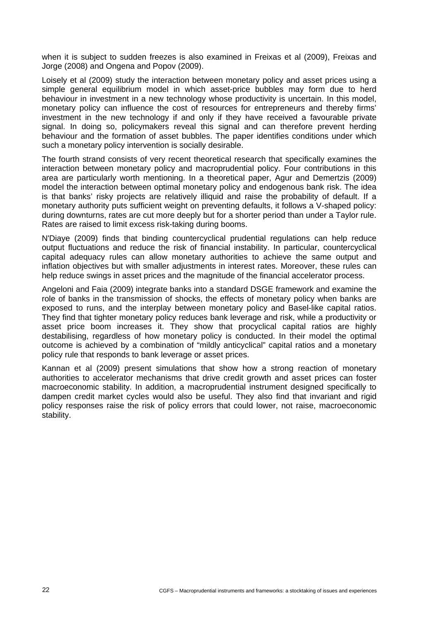when it is subject to sudden freezes is also examined in Freixas et al (2009), Freixas and Jorge (2008) and Ongena and Popov (2009).

Loisely et al (2009) study the interaction between monetary policy and asset prices using a simple general equilibrium model in which asset-price bubbles may form due to herd behaviour in investment in a new technology whose productivity is uncertain. In this model, monetary policy can influence the cost of resources for entrepreneurs and thereby firms' investment in the new technology if and only if they have received a favourable private signal. In doing so, policymakers reveal this signal and can therefore prevent herding behaviour and the formation of asset bubbles. The paper identifies conditions under which such a monetary policy intervention is socially desirable.

The fourth strand consists of very recent theoretical research that specifically examines the interaction between monetary policy and macroprudential policy. Four contributions in this area are particularly worth mentioning. In a theoretical paper, Agur and Demertzis (2009) model the interaction between optimal monetary policy and endogenous bank risk. The idea is that banks' risky projects are relatively illiquid and raise the probability of default. If a monetary authority puts sufficient weight on preventing defaults, it follows a V-shaped policy: during downturns, rates are cut more deeply but for a shorter period than under a Taylor rule. Rates are raised to limit excess risk-taking during booms.

N'Diaye (2009) finds that binding countercyclical prudential regulations can help reduce output fluctuations and reduce the risk of financial instability. In particular, countercyclical capital adequacy rules can allow monetary authorities to achieve the same output and inflation objectives but with smaller adjustments in interest rates. Moreover, these rules can help reduce swings in asset prices and the magnitude of the financial accelerator process.

Angeloni and Faia (2009) integrate banks into a standard DSGE framework and examine the role of banks in the transmission of shocks, the effects of monetary policy when banks are exposed to runs, and the interplay between monetary policy and Basel-like capital ratios. They find that tighter monetary policy reduces bank leverage and risk, while a productivity or asset price boom increases it. They show that procyclical capital ratios are highly destabilising, regardless of how monetary policy is conducted. In their model the optimal outcome is achieved by a combination of "mildly anticyclical" capital ratios and a monetary policy rule that responds to bank leverage or asset prices.

Kannan et al (2009) present simulations that show how a strong reaction of monetary authorities to accelerator mechanisms that drive credit growth and asset prices can foster macroeconomic stability. In addition, a macroprudential instrument designed specifically to dampen credit market cycles would also be useful. They also find that invariant and rigid policy responses raise the risk of policy errors that could lower, not raise, macroeconomic stability.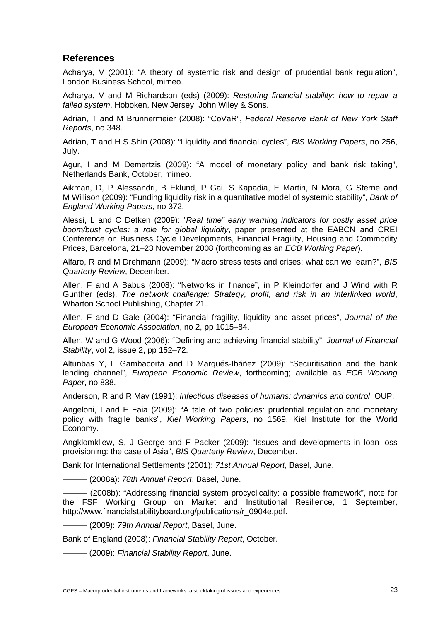# **References**

Acharya, V (2001): "A theory of systemic risk and design of prudential bank regulation", London Business School, mimeo.

Acharya, V and M Richardson (eds) (2009): *Restoring financial stability: how to repair a failed system*, Hoboken, New Jersey: John Wiley & Sons.

Adrian, T and M Brunnermeier (2008): "CoVaR", *Federal Reserve Bank of New York Staff Reports*, no 348.

Adrian, T and H S Shin (2008): "Liquidity and financial cycles", *BIS Working Papers*, no 256, July.

Agur, I and M Demertzis (2009): "A model of monetary policy and bank risk taking", Netherlands Bank, October, mimeo.

Aikman, D, P Alessandri, B Eklund, P Gai, S Kapadia, E Martin, N Mora, G Sterne and M Willison (2009): "Funding liquidity risk in a quantitative model of systemic stability", *Bank of England Working Papers*, no 372.

Alessi, L and C Detken (2009): *"Real time" early warning indicators for costly asset price boom/bust cycles: a role for global liquidity*, paper presented at the EABCN and CREI Conference on Business Cycle Developments, Financial Fragility, Housing and Commodity Prices, Barcelona, 21–23 November 2008 (forthcoming as an *ECB Working Paper*).

Alfaro, R and M Drehmann (2009): "Macro stress tests and crises: what can we learn?", *BIS Quarterly Review*, December.

Allen, F and A Babus (2008): "Networks in finance", in P Kleindorfer and J Wind with R Gunther (eds), *The network challenge: Strategy, profit, and risk in an interlinked world*, Wharton School Publishing, Chapter 21.

Allen, F and D Gale (2004): "Financial fragility, liquidity and asset prices", *Journal of the European Economic Association*, no 2, pp 1015–84.

Allen, W and G Wood (2006): "Defining and achieving financial stability", *Journal of Financial Stability*, vol 2, issue 2, pp 152–72.

Altunbas Y, L Gambacorta and D Marqués-Ibáñez (2009): "Securitisation and the bank lending channel", *European Economic Review*, forthcoming; available as *ECB Working Paper*, no 838.

Anderson, R and R May (1991): *Infectious diseases of humans: dynamics and control*, OUP.

Angeloni, I and E Faia (2009): "A tale of two policies: prudential regulation and monetary policy with fragile banks", *Kiel Working Papers*, no 1569, Kiel Institute for the World Economy.

Angklomkliew, S, J George and F Packer (2009): "Issues and developments in loan loss provisioning: the case of Asia", *BIS Quarterly Review*, December.

Bank for International Settlements (2001): *71st Annual Report*, Basel, June.

——— (2008a): *78th Annual Report*, Basel, June.

——— (2008b): "Addressing financial system procyclicality: a possible framework", note for the FSF Working Group on Market and Institutional Resilience, 1 September, [http://www.financialstabilityboard.org/publications/r\\_0904e.pdf](http://www.financialstabilityboard.org/publications/r_0904e.pdf).

——— (2009): *79th Annual Report*, Basel, June.

Bank of England (2008): *Financial Stability Report*, October.

——— (2009): *Financial Stability Report*, June.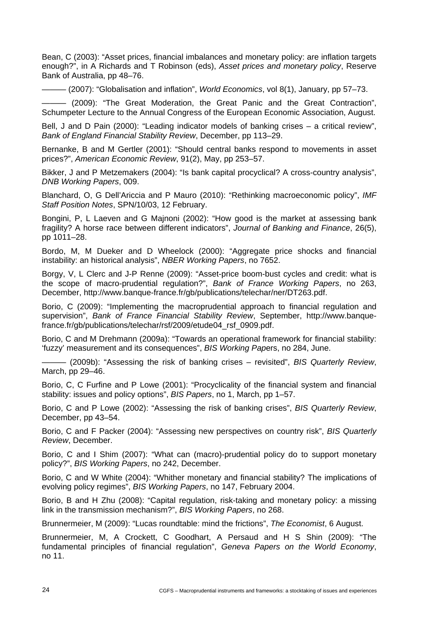Bean, C (2003): "Asset prices, financial imbalances and monetary policy: are inflation targets enough?", in A Richards and T Robinson (eds), *Asset prices and monetary policy*, Reserve Bank of Australia, pp 48–76.

——— (2007): "Globalisation and inflation", *World Economics*, vol 8(1), January, pp 57–73.

——— (2009): "The Great Moderation, the Great Panic and the Great Contraction", Schumpeter Lecture to the Annual Congress of the European Economic Association, August.

Bell, J and D Pain (2000): "Leading indicator models of banking crises – a critical review". *Bank of England Financial Stability Review*, December, pp 113–29.

Bernanke, B and M Gertler (2001): "Should central banks respond to movements in asset prices?", *American Economic Review*, 91(2), May, pp 253–57.

Bikker, J and P Metzemakers (2004): "Is bank capital procyclical? A cross-country analysis", *DNB Working Papers*, 009.

Blanchard, O, G Dell'Ariccia and P Mauro (2010): "Rethinking macroeconomic policy", *IMF Staff Position Notes*, SPN/10/03, 12 February.

Bongini, P, L Laeven and G Majnoni (2002): "How good is the market at assessing bank fragility? A horse race between different indicators", *Journal of Banking and Finance*, 26(5), pp 1011–28.

Bordo, M, M Dueker and D Wheelock (2000): "Aggregate price shocks and financial instability: an historical analysis", *NBER Working Papers*, no 7652.

Borgy, V, L Clerc and J-P Renne (2009): "Asset-price boom-bust cycles and credit: what is the scope of macro-prudential regulation?", *Bank of France Working Papers*, no 263, December, http://www.banque-france.fr/gb/publications/telechar/ner/DT263.pdf.

Borio, C (2009): "Implementing the macroprudential approach to financial regulation and supervision", *Bank of France Financial Stability Review*, September, [http://www.banque](http://www.banque-france.fr/gb/publications/telechar/rsf/2009/etude04_rsf_0909.pdf)[france.fr/gb/publications/telechar/rsf/2009/etude04\\_rsf\\_0909.pdf](http://www.banque-france.fr/gb/publications/telechar/rsf/2009/etude04_rsf_0909.pdf).

Borio, C and M Drehmann (2009a): "Towards an operational framework for financial stability: 'fuzzy' measurement and its consequences", *BIS Working Pap*ers, no 284, June.

——— (2009b): "Assessing the risk of banking crises – revisited", *BIS Quarterly Review*, March, pp 29–46.

Borio, C, C Furfine and P Lowe (2001): "Procyclicality of the financial system and financial stability: issues and policy options", *BIS Papers*, no 1, March, pp 1–57.

Borio, C and P Lowe (2002): "Assessing the risk of banking crises", *BIS Quarterly Review*, December, pp 43–54.

Borio, C and F Packer (2004): "Assessing new perspectives on country risk", *BIS Quarterly Review*, December.

Borio, C and I Shim (2007): "What can (macro)-prudential policy do to support monetary policy?", *BIS Working Papers*, no 242, December.

Borio, C and W White (2004): "Whither monetary and financial stability? The implications of evolving policy regimes", *BIS Working Papers*, no 147, February 2004.

Borio, B and H Zhu (2008): "Capital regulation, risk-taking and monetary policy: a missing link in the transmission mechanism?", *BIS Working Papers*, no 268.

Brunnermeier, M (2009): "Lucas roundtable: mind the frictions", *The Economist*, 6 August.

Brunnermeier, M, A Crockett, C Goodhart, A Persaud and H S Shin (2009): "The fundamental principles of financial regulation", *Geneva Papers on the World Economy*, no 11.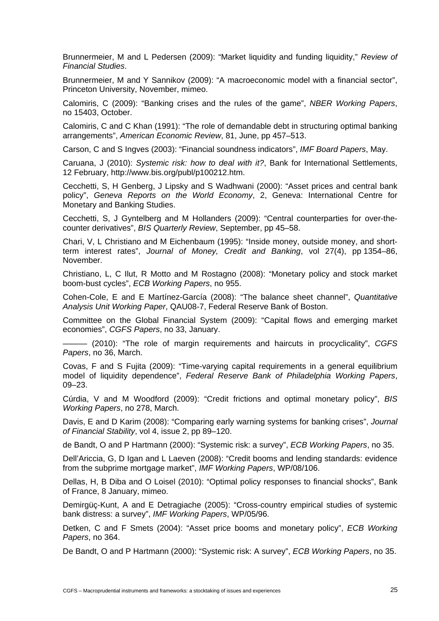Brunnermeier, M and L Pedersen (2009): "Market liquidity and funding liquidity," *Review of Financial Studies*.

Brunnermeier, M and Y Sannikov (2009): "A macroeconomic model with a financial sector", Princeton University, November, mimeo.

Calomiris, C (2009): "Banking crises and the rules of the game", *NBER Working Papers*, no 15403, October.

Calomiris, C and C Khan (1991): "The role of demandable debt in structuring optimal banking arrangements", *American Economic Review*, 81, June, pp 457–513.

Carson, C and S Ingves (2003): "Financial soundness indicators", *IMF Board Papers*, May.

Caruana, J (2010): *Systemic risk: how to deal with it?*, Bank for International Settlements, 12 February, http://www.bis.org/publ/p100212.htm.

Cecchetti, S, H Genberg, J Lipsky and S Wadhwani (2000): "Asset prices and central bank policy", *Geneva Reports on the World Economy*, 2, Geneva: International Centre for Monetary and Banking Studies.

Cecchetti, S, J Gyntelberg and M Hollanders (2009): "Central counterparties for over-thecounter derivatives", *BIS Quarterly Review*, September, pp 45–58.

Chari, V, L Christiano and M Eichenbaum (1995): "Inside money, outside money, and shortterm interest rates", *Journal of Money, Credit and Banking*, vol 27(4), pp 1354–86, November.

Christiano, L, C Ilut, R Motto and M Rostagno (2008): "Monetary policy and stock market boom-bust cycles", *ECB Working Papers*, no 955.

Cohen-Cole, E and E Martínez-García (2008): "The balance sheet channel", *Quantitative Analysis Unit Working Paper*, QAU08-7, Federal Reserve Bank of Boston.

Committee on the Global Financial System (2009): "Capital flows and emerging market economies", *CGFS Papers*, no 33, January.

——— (2010): "The role of margin requirements and haircuts in procyclicality", *CGFS Papers*, no 36, March.

Covas, F and S Fujita (2009): "Time-varying capital requirements in a general equilibrium model of liquidity dependence", *Federal Reserve Bank of Philadelphia Working Papers*, 09–23.

Cúrdia, V and M Woodford (2009): "Credit frictions and optimal monetary policy", *BIS Working Papers*, no 278, March.

Davis, E and D Karim (2008): "Comparing early warning systems for banking crises", *Journal of Financial Stability*, vol 4, issue 2, pp 89–120.

de Bandt, O and P Hartmann (2000): "Systemic risk: a survey", *ECB Working Papers*, no 35.

Dell'Ariccia, G, D Igan and L Laeven (2008): "Credit booms and lending standards: evidence from the subprime mortgage market", *IMF Working Papers*, WP/08/106.

Dellas, H, B Diba and O Loisel (2010): "Optimal policy responses to financial shocks", Bank of France, 8 January, mimeo.

Demirgüç-Kunt, A and E Detragiache (2005): "Cross-country empirical studies of systemic bank distress: a survey", *IMF Working Papers*, WP/05/96.

Detken, C and F Smets (2004): "Asset price booms and monetary policy", *ECB Working Papers*, no 364.

De Bandt, O and P Hartmann (2000): "Systemic risk: A survey", *ECB Working Papers*, no 35.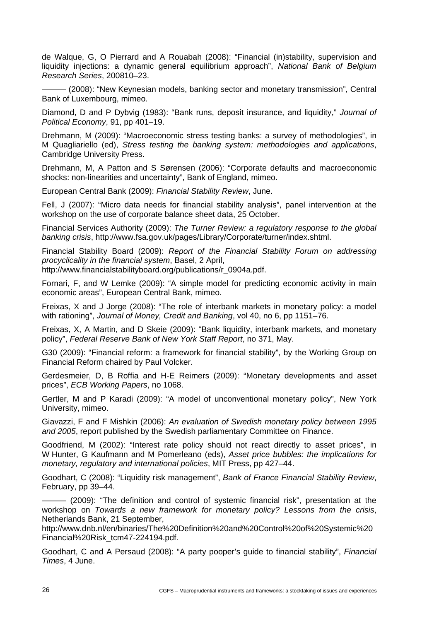de Walque, G, O Pierrard and A Rouabah (2008): "Financial (in)stability, supervision and liquidity injections: a dynamic general equilibrium approach", *National Bank of Belgium Research Series*, 200810–23.

– (2008): "New Keynesian models, banking sector and monetary transmission", Central Bank of Luxembourg, mimeo.

Diamond, D and P Dybvig (1983): "Bank runs, deposit insurance, and liquidity," *Journal of Political Economy*, 91, pp 401–19.

Drehmann, M (2009): "Macroeconomic stress testing banks: a survey of methodologies", in M Quagliariello (ed), *Stress testing the banking system: methodologies and applications*, Cambridge University Press.

Drehmann, M, A Patton and S Sørensen (2006): "Corporate defaults and macroeconomic shocks: non-linearities and uncertainty", Bank of England, mimeo.

European Central Bank (2009): *Financial Stability Review*, June.

Fell, J (2007): "Micro data needs for financial stability analysis", panel intervention at the workshop on the use of corporate balance sheet data, 25 October.

Financial Services Authority (2009): *The Turner Review: a regulatory response to the global banking crisis*,<http://www.fsa.gov.uk/pages/Library/Corporate/turner/index.shtml>.

Financial Stability Board (2009): *Report of the Financial Stability Forum on addressing procyclicality in the financial system*, Basel, 2 April,

http://www.financialstabilityboard.org/publications/r\_0904a.pdf.

Fornari, F, and W Lemke (2009): "A simple model for predicting economic activity in main economic areas", European Central Bank, mimeo.

Freixas, X and J Jorge (2008): "The role of interbank markets in monetary policy: a model with rationing", *Journal of Money, Credit and Banking*, vol 40, no 6, pp 1151–76.

Freixas, X, A Martin, and D Skeie (2009): "Bank liquidity, interbank markets, and monetary policy", *Federal Reserve Bank of New York Staff Report*, no 371, May.

G30 (2009): "Financial reform: a framework for financial stability", by the Working Group on Financial Reform chaired by Paul Volcker.

Gerdesmeier, D, B Roffia and H-E Reimers (2009): "Monetary developments and asset prices", *ECB Working Papers*, no 1068.

Gertler, M and P Karadi (2009): "A model of unconventional monetary policy", New York University, mimeo.

Giavazzi, F and F Mishkin (2006): *An evaluation of Swedish monetary policy between 1995 and 2005*, report published by the Swedish parliamentary Committee on Finance.

Goodfriend, M (2002): "Interest rate policy should not react directly to asset prices", in W Hunter, G Kaufmann and M Pomerleano (eds), *Asset price bubbles: the implications for monetary, regulatory and international policies*, MIT Press, pp 427–44.

Goodhart, C (2008): "Liquidity risk management", *Bank of France Financial Stability Review*, February, pp 39–44.

——— (2009): "The definition and control of systemic financial risk", presentation at the workshop on *Towards a new framework for monetary policy? Lessons from the crisis*, Netherlands Bank, 21 September,

[http://www.dnb.nl/en/binaries/The%20Definition%20and%20Control%20of%20Systemic%20](http://www.dnb.nl/en/binaries/The%20Definition%20and%20Control%20of%20Systemic%20Financial%20Risk_tcm47-224194.pdf) [Financial%20Risk\\_tcm47-224194.pdf.](http://www.dnb.nl/en/binaries/The%20Definition%20and%20Control%20of%20Systemic%20Financial%20Risk_tcm47-224194.pdf)

Goodhart, C and A Persaud (2008): "A party pooper's guide to financial stability", *Financial Times*, 4 June.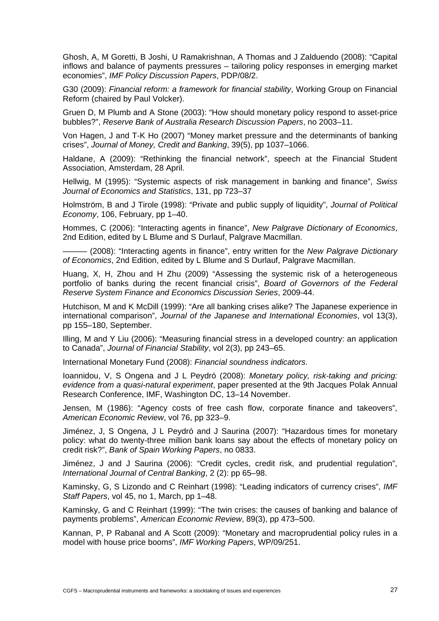Ghosh, A, M Goretti, B Joshi, U Ramakrishnan, A Thomas and J Zalduendo (2008): "Capital inflows and balance of payments pressures – tailoring policy responses in emerging market economies", *IMF Policy Discussion Papers*, PDP/08/2.

G30 (2009): *Financial reform: a framework for financial stability*, Working Group on Financial Reform (chaired by Paul Volcker).

Gruen D, M Plumb and A Stone (2003): "How should monetary policy respond to asset-price bubbles?", *Reserve Bank of Australia Research Discussion Papers*, no 2003–11.

Von Hagen, J and T-K Ho (2007) "Money market pressure and the determinants of banking crises", *Journal of Money, Credit and Banking*, 39(5), pp 1037–1066.

Haldane, A (2009): "Rethinking the financial network", speech at the Financial Student Association, Amsterdam, 28 April.

Hellwig, M (1995): "Systemic aspects of risk management in banking and finance", *Swiss Journal of Economics and Statistics*, 131, pp 723–37

Holmström, B and J Tirole (1998): "Private and public supply of liquidity", *Journal of Political Economy*, 106, February, pp 1–40.

Hommes, C (2006): "Interacting agents in finance", *New Palgrave Dictionary of Economics*, 2nd Edition, edited by L Blume and S Durlauf, Palgrave Macmillan.

(2008): "Interacting agents in finance", entry written for the *New Palgrave Dictionary of Economics*, 2nd Edition, edited by L Blume and S Durlauf, Palgrave Macmillan.

Huang, X, H, Zhou and H Zhu (2009) "Assessing the systemic risk of a heterogeneous portfolio of banks during the recent financial crisis", *Board of Governors of the Federal Reserve System Finance and Economics Discussion Series*, 2009-44.

Hutchison, M and K McDill (1999): "Are all banking crises alike? The Japanese experience in international comparison", *Journal of the Japanese and International Economies*, vol 13(3), pp 155–180, September.

Illing, M and Y Liu (2006): "Measuring financial stress in a developed country: an application to Canada", *Journal of Financial Stability*, vol 2(3), pp 243–65.

International Monetary Fund (2008): *Financial soundness indicators*.

Ioannidou, V, S Ongena and J L Peydró (2008): *Monetary policy, risk-taking and pricing: evidence from a quasi-natural experiment*, paper presented at the 9th Jacques Polak Annual Research Conference, IMF, Washington DC, 13–14 November.

Jensen, M (1986): "Agency costs of free cash flow, corporate finance and takeovers", *American Economic Review*, vol 76, pp 323–9.

Jiménez, J, S Ongena, J L Peydró and J Saurina (2007): "Hazardous times for monetary policy: what do twenty-three million bank loans say about the effects of monetary policy on credit risk?", *Bank of Spain Working Papers*, no 0833.

Jiménez, J and J Saurina (2006): "Credit cycles, credit risk, and prudential regulation", *International Journal of Central Banking*, 2 (2): pp 65–98.

Kaminsky, G, S Lizondo and C Reinhart (1998): "Leading indicators of currency crises", *IMF Staff Papers*, vol 45, no 1, March, pp 1–48.

Kaminsky, G and C Reinhart (1999): "The twin crises: the causes of banking and balance of payments problems", *American Economic Review*, 89(3), pp 473–500.

Kannan, P, P Rabanal and A Scott (2009): "Monetary and macroprudential policy rules in a model with house price booms", *IMF Working Papers*, WP/09/251.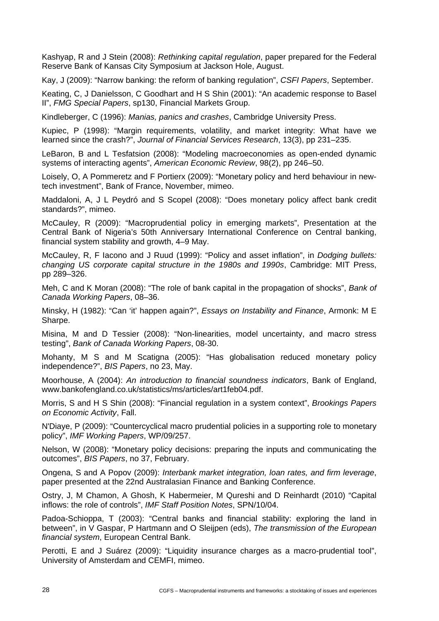Kashyap, R and J Stein (2008): *Rethinking capital regulation*, paper prepared for the Federal Reserve Bank of Kansas City Symposium at Jackson Hole, August.

Kay, J (2009): "Narrow banking: the reform of banking regulation", *CSFI Papers*, September.

Keating, C, J Danielsson, C Goodhart and H S Shin (2001): "An academic response to Basel II", *FMG Special Papers*, sp130, Financial Markets Group.

Kindleberger, C (1996): *Manias, panics and crashes*, Cambridge University Press.

Kupiec, P (1998): "Margin requirements, volatility, and market integrity: What have we learned since the crash?", *Journal of Financial Services Research*, 13(3), pp 231–235.

LeBaron, B and L Tesfatsion (2008): "Modeling macroeconomies as open-ended dynamic systems of interacting agents", *American Economic Review*, 98(2), pp 246–50.

Loisely, O, A Pommeretz and F Portierx (2009): "Monetary policy and herd behaviour in newtech investment", Bank of France, November, mimeo.

Maddaloni, A, J L Peydró and S Scopel (2008): "Does monetary policy affect bank credit standards?", mimeo.

McCauley, R (2009): "Macroprudential policy in emerging markets", Presentation at the Central Bank of Nigeria's 50th Anniversary International Conference on Central banking, financial system stability and growth, 4–9 May.

McCauley, R, F Iacono and J Ruud (1999): "Policy and asset inflation", in *Dodging bullets: changing US corporate capital structure in the 1980s and 1990s*, Cambridge: MIT Press, pp 289–326.

Meh, C and K Moran (2008): "The role of bank capital in the propagation of shocks", *Bank of Canada Working Papers*, 08–36.

Minsky, H (1982): "Can 'it' happen again?", *Essays on Instability and Finance*, Armonk: M E Sharpe.

Misina, M and D Tessier (2008): "Non-linearities, model uncertainty, and macro stress testing", *Bank of Canada Working Papers*, 08-30.

Mohanty, M S and M Scatigna (2005): "Has globalisation reduced monetary policy independence?", *BIS Papers*, no 23, May.

Moorhouse, A (2004): *An introduction to financial soundness indicators*, Bank of England, [www.bankofengland.co.uk/statistics/ms/articles/art1feb04.pdf.](http://www.bankofengland.co.uk/statistics/ms/articles/art1feb04.pdf)

Morris, S and H S Shin (2008): "Financial regulation in a system context", *Brookings Papers on Economic Activity*, Fall.

N'Diaye, P (2009): "Countercyclical macro prudential policies in a supporting role to monetary policy", *IMF Working Papers*, WP/09/257.

Nelson, W (2008): "Monetary policy decisions: preparing the inputs and communicating the outcomes", *BIS Papers*, no 37, February.

Ongena, S and A Popov (2009): *Interbank market integration, loan rates, and firm leverage*, paper presented at the 22nd Australasian Finance and Banking Conference.

Ostry, J, M Chamon, A Ghosh, K Habermeier, M Qureshi and D Reinhardt (2010) "Capital inflows: the role of controls", *IMF Staff Position Notes*, SPN/10/04.

Padoa-Schioppa, T (2003): "Central banks and financial stability: exploring the land in between", in V Gaspar, P Hartmann and O Sleijpen (eds), *The transmission of the European financial system*, European Central Bank.

Perotti, E and J Suárez (2009): "Liquidity insurance charges as a macro-prudential tool", University of Amsterdam and CEMFI, mimeo.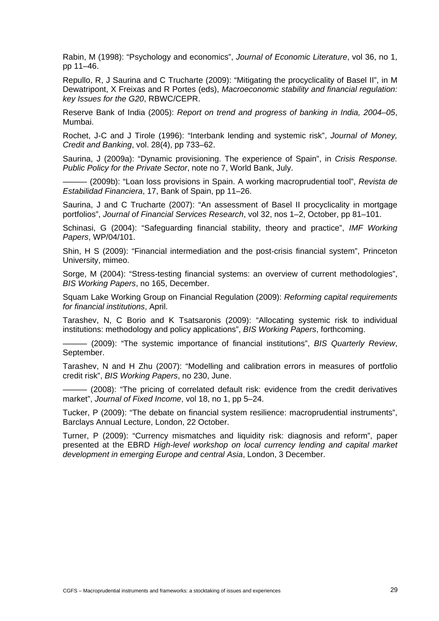Rabin, M (1998): "Psychology and economics", *Journal of Economic Literature*, vol 36, no 1, pp 11–46.

Repullo, R, J Saurina and C Trucharte (2009): "Mitigating the procyclicality of Basel II", in M Dewatripont, X Freixas and R Portes (eds), *Macroeconomic stability and financial regulation: key Issues for the G20*, RBWC/CEPR.

Reserve Bank of India (2005): *Report on trend and progress of banking in India, 2004–05*, Mumbai.

Rochet, J-C and J Tirole (1996): "Interbank lending and systemic risk", *Journal of Money, Credit and Banking*, vol. 28(4), pp 733–62.

Saurina, J (2009a): "Dynamic provisioning. The experience of Spain", in *Crisis Response. Public Policy for the Private Sector*, note no 7, World Bank, July.

——— (2009b): "Loan loss provisions in Spain. A working macroprudential tool", *Revista de Estabilidad Financiera*, 17, Bank of Spain, pp 11–26.

Saurina, J and C Trucharte (2007): "An assessment of Basel II procyclicality in mortgage portfolios", *Journal of Financial Services Research*, vol 32, nos 1–2, October, pp 81–101.

Schinasi, G (2004): "Safeguarding financial stability, theory and practice", *IMF Working Papers*, WP/04/101.

Shin, H S (2009): "Financial intermediation and the post-crisis financial system", Princeton University, mimeo.

Sorge, M (2004): "Stress-testing financial systems: an overview of current methodologies", *BIS Working Papers*, no 165, December.

Squam Lake Working Group on Financial Regulation (2009): *Reforming capital requirements for financial institutions*, April.

Tarashev, N, C Borio and K Tsatsaronis (2009): "Allocating systemic risk to individual institutions: methodology and policy applications", *BIS Working Papers*, forthcoming.

——— (2009): "The systemic importance of financial institutions", *BIS Quarterly Review*, September.

Tarashev, N and H Zhu (2007): "Modelling and calibration errors in measures of portfolio credit risk", *BIS Working Papers*, no 230, June.

- (2008): "The pricing of correlated default risk: evidence from the credit derivatives market", *Journal of Fixed Income*, vol 18, no 1, pp 5–24.

Tucker, P (2009): "The debate on financial system resilience: macroprudential instruments", Barclays Annual Lecture, London, 22 October.

Turner, P (2009): "Currency mismatches and liquidity risk: diagnosis and reform", paper presented at the EBRD *High-level workshop on local currency lending and capital market development in emerging Europe and central Asia*, London, 3 December.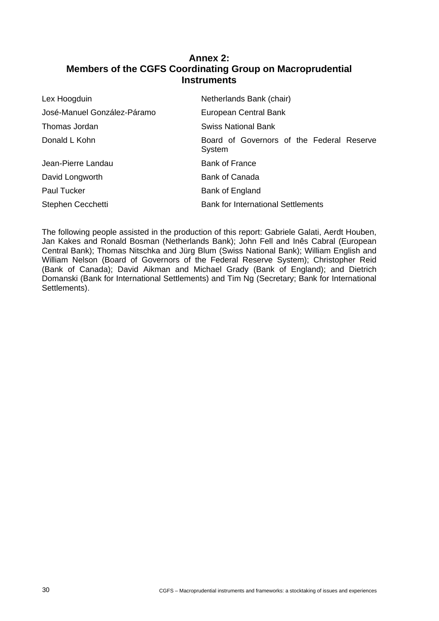# **Annex 2: Members of the CGFS Coordinating Group on Macroprudential Instruments**

<span id="page-35-0"></span>

| Lex Hoogduin                | Netherlands Bank (chair)                            |
|-----------------------------|-----------------------------------------------------|
| José-Manuel González-Páramo | European Central Bank                               |
| Thomas Jordan               | <b>Swiss National Bank</b>                          |
| Donald L Kohn               | Board of Governors of the Federal Reserve<br>System |
| Jean-Pierre Landau          | <b>Bank of France</b>                               |
| David Longworth             | <b>Bank of Canada</b>                               |
| Paul Tucker                 | Bank of England                                     |
| Stephen Cecchetti           | <b>Bank for International Settlements</b>           |

The following people assisted in the production of this report: Gabriele Galati, Aerdt Houben, Jan Kakes and Ronald Bosman (Netherlands Bank); John Fell and Inês Cabral (European Central Bank); Thomas Nitschka and Jürg Blum (Swiss National Bank); William English and William Nelson (Board of Governors of the Federal Reserve System); Christopher Reid (Bank of Canada); David Aikman and Michael Grady (Bank of England); and Dietrich Domanski (Bank for International Settlements) and Tim Ng (Secretary; Bank for International Settlements).